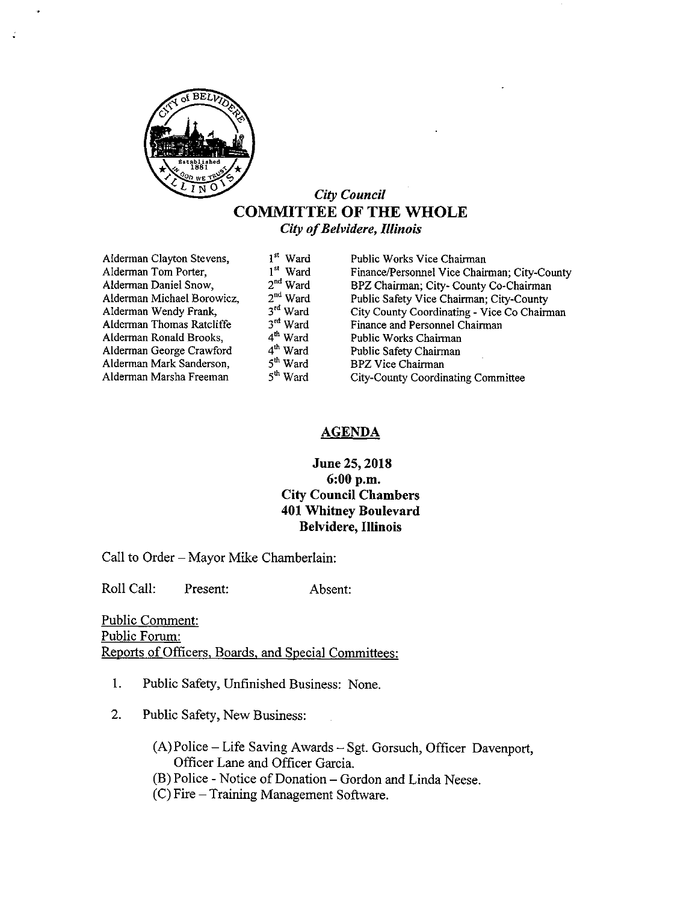

# City Council COMMITTEE OF THE WHOLE City of Belvidere, Illinois

| Alderman Clayton Stevens,  | 1 <sup>st</sup> Ward | Public Works Vice Chairman                   |
|----------------------------|----------------------|----------------------------------------------|
| Alderman Tom Porter,       | 1 <sup>st</sup> Ward | Finance/Personnel Vice Chairman; City-County |
| Alderman Daniel Snow,      | $2nd$ Ward           | BPZ Chairman; City- County Co-Chairman       |
| Alderman Michael Borowicz, | $2nd$ Ward           | Public Safety Vice Chairman; City-County     |
| Alderman Wendy Frank,      | 3rd Ward             | City County Coordinating - Vice Co Chairman  |
| Alderman Thomas Ratcliffe  | $3rd$ Ward           | Finance and Personnel Chairman               |
| Alderman Ronald Brooks,    | $4th$ Ward           | Public Works Chairman                        |
| Alderman George Crawford   | $4th$ Ward           | Public Safety Chairman                       |
| Alderman Mark Sanderson,   | 5 <sup>th</sup> Ward | <b>BPZ Vice Chairman</b>                     |
| Alderman Marsha Freeman    | 5 <sup>th</sup> Ward | City-County Coordinating Committee           |
|                            |                      |                                              |

# AGENDA

# June 25, 2018 6: 00 p.m. City Council Chambers 401 Whitney Boulevard Belvidere, Illinois

Call to Order— Mayor Mike Chamberlain:

Roll Call: Present: Absent:

Public Comment: Public Forum: Reports of Officers. Boards. and Special Committees:

- 1. Public Safety, Unfinished Business: None.
- 2. Public Safety, New Business:
	- A) Police— Life Saving Awards— Sgt. Gorsuch, Officer Davenport, Officer Lane and Officer Garcia.
	- B) Police- Notice of Donation— Gordon and Linda Neese.
	- C) Fire— Training Management Software.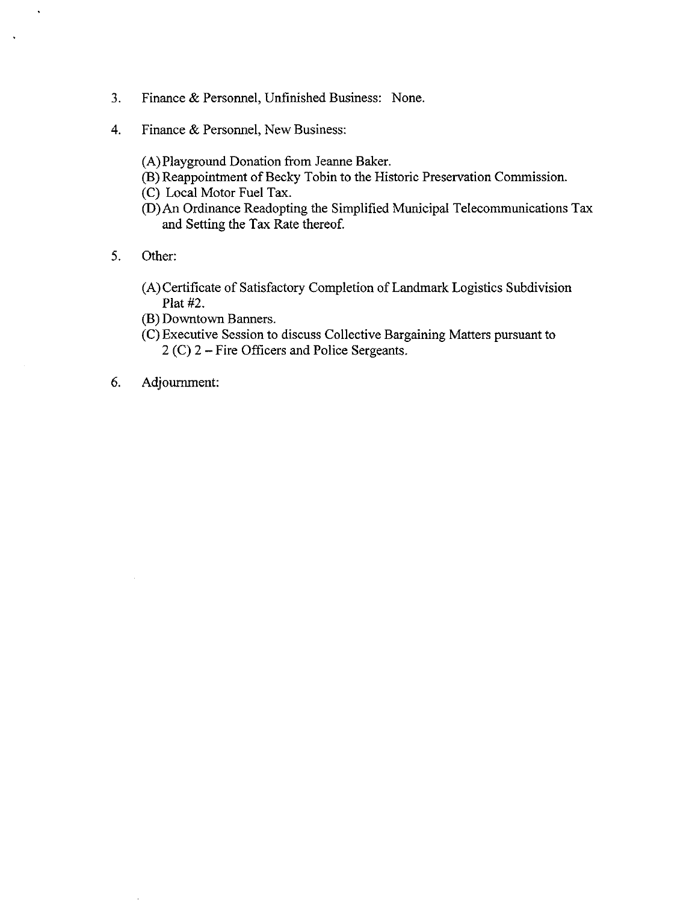- 3. Finance & Personnel, Unfinished Business: None.
- 4. Finance & Personnel, New Business:
	- A) Playground Donation from Jeanne Baker.
	- B) Reappointment of Becky Tobin to the Historic Preservation Commission.
	- C) Local Motor Fuel Tax.
	- D) An Ordinance Readopting the Simplified Municipal Telecommunications Tax and Setting the Tax Rate thereof.
- 5. Other:

L.

- A) Certificate of Satisfactory Completion of Landmark Logistics Subdivision Plat #2.
- B) Downtown Banners.
- C) Executive Session to discuss Collective Bargaining Matters pursuant to 2 (C) 2 – Fire Officers and Police Sergeants.
- 6. Adjournment: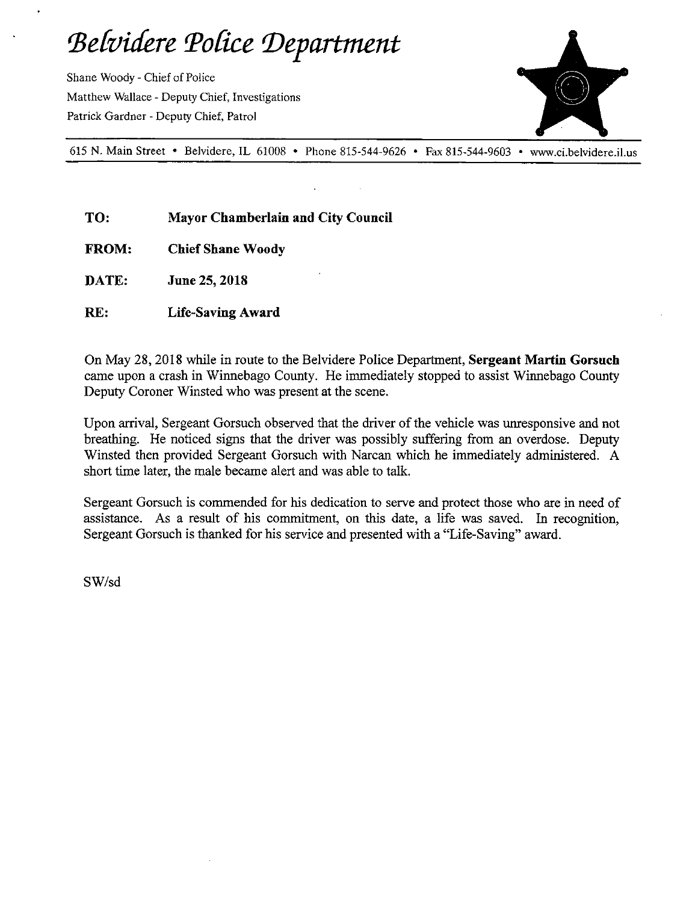# Belvidere Police Department

Shane Woody- Chief of Police Matthew Wallace- Deputy Chief, Investigations Patrick Gardner- Deputy Chief, Patrol



615 N. Main Street • Belvidere, IL 61008 • Phone 815-544-9626 • Fax 815-544-9603 • www.ci.belvidere.il.us

- TO: Mayor Chamberlain and City Council
- FROM: Chief Shane Woody
- DATE: June 25, 2018
- RE: Life-Saving Award

On May 28, 2018 while in route to the Belvidere Police Department, Sergeant Martin Gorsuch came upon a crash in Winnebago County. He immediately stopped to assist Winnebago County Deputy Coroner Winsted who was present at the scene.

Upon arrival, Sergeant Gorsuch observed that the driver of the vehicle was unresponsive and not breathing. He noticed signs that the driver was possibly suffering from an overdose. Deputy Winsted then provided Sergeant Gorsuch with Narcan which he immediately administered. A short time later, the male became alert and was able to talk.

Sergeant Gorsuch is commended for his dedication to serve and protect those who are in need of assistance. As a result of his commitment, on this date, a life was saved. In recognition, Sergeant Gorsuch is thanked for his service and presented with a" Life-Saving" award.

SW/sd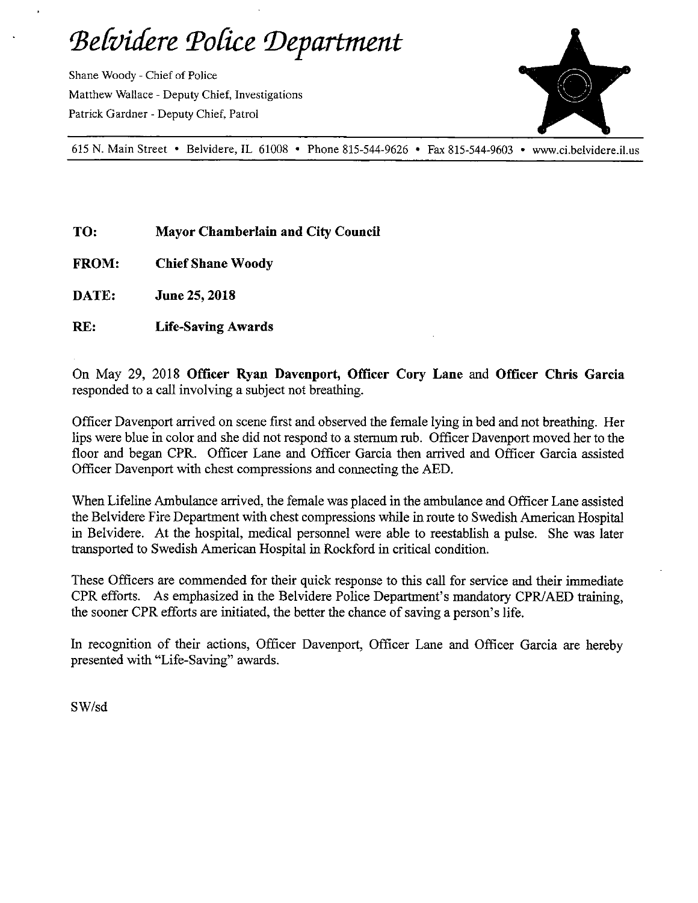Belvidere Police Department

Shane Woody- Chief of Police Matthew Wallace- Deputy Chief, Investigations Patrick Gardner- Deputy Chief, Patrol



615 N. Main Street • Belvidere, IL 61008 • Phone 815-544-9626 • Fax 815-544-9603 • www.ci.belvidere.il.us

TO: Mayor Chamberlain and City Council

FROM: Chief Shane Woody

DATE: June 25, 2018

RE: Life-Saving Awards

On May 29, 2018 Officer Ryan Davenport, Officer Cory Lane and Officer Chris Garcia responded to a call involving a subject not breathing.

Officer Davenport arrived on scene first and observed the female lying in bed and not breathing. Her lips were blue in color and she did not respond to a sternum rub. Officer Davenport moved her to the floor and began CPR. Officer Lane and Officer Garcia then arrived and Officer Garcia assisted Officer Davenport with chest compressions and connecting the AED.

When Lifeline Ambulance arrived, the female was placed in the ambulance and Officer Lane assisted the Belvidere Fire Department with chest compressions while in route to Swedish American Hospital in Belvidere. At the hospital, medical personnel were able to reestablish <sup>a</sup> pulse. She was later transported to Swedish American Hospital in Rockford in critical condition.

These Officers are commended for their quick response to this call for service and their immediate CPR efforts. As emphasized in the Belvidere Police Department's mandatory CPR/AED training, the sooner CPR efforts are initiated, the better the chance of saving a person's life.

In recognition of their actions, Officer Davenport, Officer Lane and Officer Garcia are hereby presented with "Life-Saving" awards.

SW/sd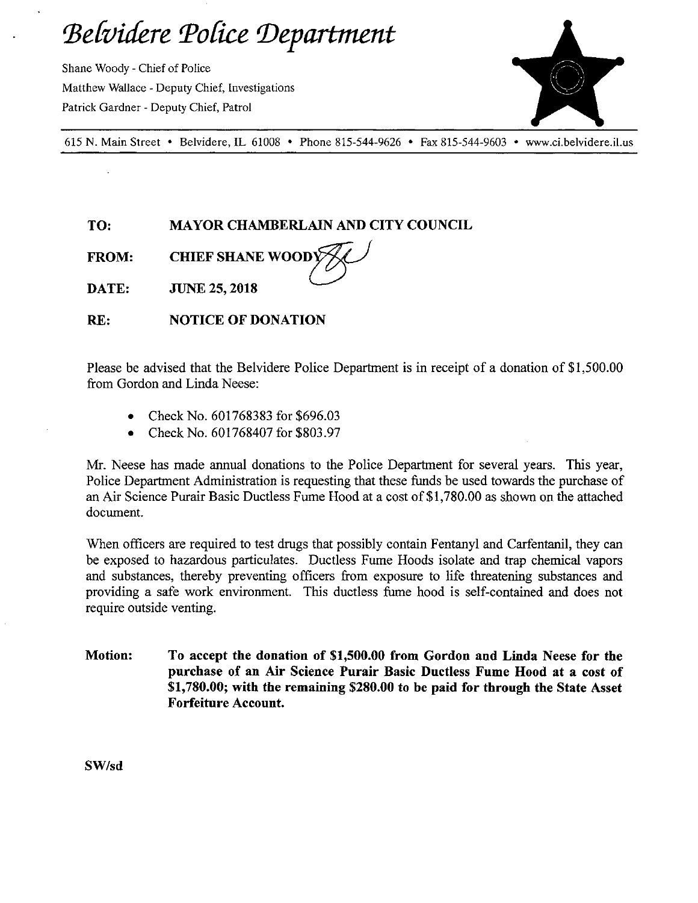Belvidere Police Department

Shane Woody- Chief of Police Matthew Wallace- Deputy Chief, Investigations Patrick Gardner- Deputy Chief, Patrol



615 N. Main Street • Belvidere, IL 61008 • Phone 815-544-9626 • Fax 815-544-9603 • www.ci.belvidere.il.us

TO: MAYOR CHAMBERLAIN AND CITY COUNCIL

WOOD COMPANY

FROM: CHIEF SHANE WOODY

DATE: JUNE 25, 2018

RE: NOTICE OF DONATION

Please be advised that the Belvidere Police Department is in receipt of a donation of \$1,500.00 from Gordon and Linda Neese:

- Check No. 601768383 for \$696.03
- Check No. 601768407 for \$803.97  $\bullet$

Mr. Neese has made annual donations to the Police Department for several years. This year, Police Department Administration is requesting that these funds be used towards the purchase of an Air Science Purair Basic Ductless Fume Hood at a cost of \$1,780.00 as shown on the attached document.

When officers are required to test drugs that possibly contain Fentanyl and Carfentanil, they can be exposed to hazardous particulates. Ductless Fume Hoods isolate and trap chemical vapors and substances, thereby preventing officers from exposure to life threatening substances and providing a safe work environment. This ductless fume hood is self-contained and does not require outside venting.

Motion: To accept the donation of \$1,500.00 from Gordon and Linda Neese for the purchase of an Air Science Purair Basic Ductless Fume Hood at a cost of 1, 780.00; with the remaining \$280.00 to be paid for through the State Asset Forfeiture Account.

SW/sd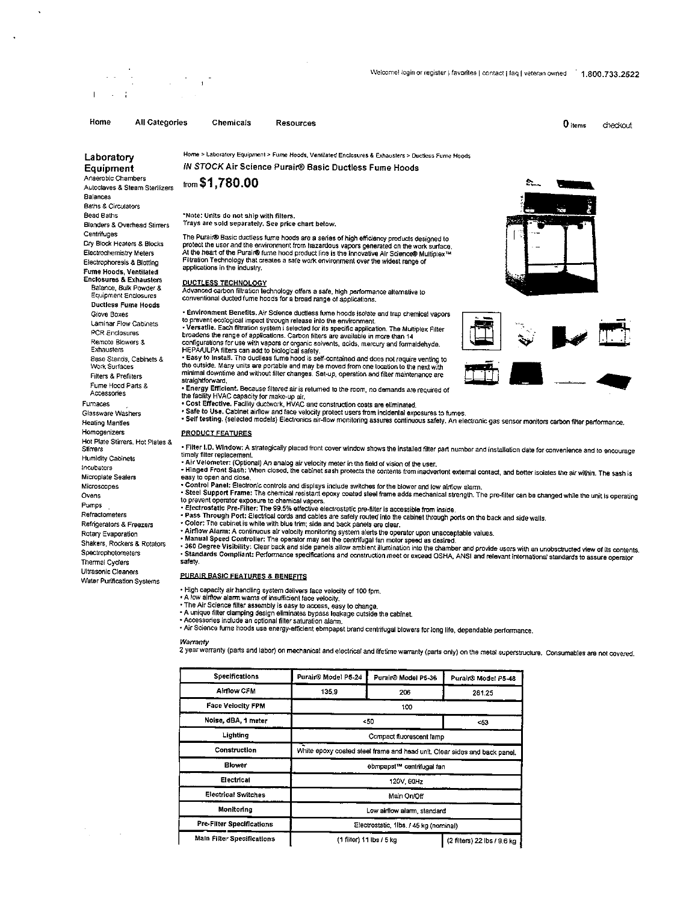I

IN STOCK Air Science Purair® Basic Ductless Fume Hoods

Home All Categories Chemicals Resources  $0 \,$  hems  $\,0 \,$  hems checkout

Laboratory Home > Laboratory Equipment > Fume Hoods, Ventilated Enclosures & Exhausters > Ductless Fume Hoods<br>Equipment MSTOCK Air Science Purair® Basic Ductless Fume Hoods Anaerobic Chambers<br>Autoclayes & Steam Starlizers from **\$1,780.00** Autoclaves & Steam Sterilizers Balances Baths& Circulators **Centrifuges Fume Hoods, Ventilated<br>Enclosures & Exhausters** Balance, Bulk Powder& Equipment Enclosures Ductless Fume Hoods Base Stands, Cabinets & Work Surfaces Fume Hood Pans& Accessories Furnaces Homogenizers PRODUCT FEATURES Hot Plate Stirrers, Hot Plates &<br>Stirrers incubator.

Ultrasonic Cleaners Water Purification Systems

Bead Baths Note: Units do not ship with filters. Blenders& Overhead Stirrers Trays are sold separately. See price chart below.

The Purair® Basic ductless fume hoods are a series of high efficiency products designed to Dry Block Heaters & Blocks protect the user and the environment from hazardous vapors generated on the work surface<br>Electrochemistry Meters At the heart of the Purair® fume hood product line is the innovative Air Science® applications in the industry.

### DUCTLESS TECHNOLOGY

Advanced carbon filtration technology offers a safe, high performance alternative to<br>conventional ducted fume hoods for a broad range of applications.

Glove Boxes Environment Benefits. Air Science ductless fume hoods isolate and trap chemical vapors<br>Laminar Flow Cabinets to prevent ecological impact through release into the environment.

Laminar Flow Cabinets to prevent ecological impact through release into the environment.<br>PCR Enclosures Forsattle. Each filtration system i selected for its specific application. The Multiplex Filte<br>PCR Enclosures than 14 Remote Blowers& configurations for use with vapors or organic solvents, adds, mercury and formaldehyde. Exhausters HEPANLPA filters can add to biological safety.

Base Stands, Cabinets & "Easy to instant... the quoties turne hood is self-contained and does not require venting to<br>Work Surfaces : the outside. Many units are portable and may be moved from one location to the next with<br> Prehiters<br>For Parts & Straightforward.<br>Ses earts & Finergy Efficient. Because filtered air is returned to the room, no demands are required of

the facility HVAC capacity for make-up air.<br>• Cost Effective. Facility ductwork, HVAC and construction costs are eliminated.

Glassware Washers • Safe to Use. Cabinet ainlow and face velocity protect users from incidental exposures to fumes.<br>Heating Mantles • Self testing. (selected models) Electronics air-flow monitoring assures conti

To the state Suites, I is relief it of the I.D. Window: A strategically placed front cover window shows the installed filter part number and installation date for convenience and to encourage<br>Humidity Cabinets<br>Humidity Cab Humidity Cabinets timely filter replacement.<br>• Air Velometer: (Optional) An analog air velocity meter in the field of vision of the user

Hinged Front Sash: When dosed. the cabinet sash protects the contents from inadvertent external mntacl, and better isdates the air within. The sash is Microplate Sealers easy to open and dose. Microsmpes Control Panel: Electronic controls and displays include switches for the blower an law alrtlow slant.

Ovens Steel Support Frame: The chemical resistant epoxy coated steel frame adds mechanical strength. The pre-filter can be changed wile the unit Is operating to prevent operator exposure to chemical vapors.

- Pumps ElMrostatic Pm iiter.The 99.5% effective electrostatic pre-filter is accessible from inside. Refractometers Pass Through Port: Electrical cords and cables are safely muted into the cabinet through ports on the back and side walls. Refrigerators& Freezers Color: The cabinet is white with blue trim; side and back panels are dear.
- Manual Speed Controller: Electric Historic Manual Speed Controller: The cabinet intervent controller in Speed Controller: The cabinet is white with blue trim; side and back panels are dear.<br>Rotaty Evaporation **Anual Speed**

Rotary Evaporation **Airliow Alarm: A continuous air velocity monitoring system alerts the operator upon unacceptable values.** 

Spectrophotometers of the section of the complant: Performance specifications and ocnstruction meet or exceed OSHA, ANSI and relevant international standards to assure operator<br>The control of the factor of the factor secti Thermal Cyclers safety.

# PURAIR BASIC FEATURES & BENEFITS

- High capacity air handling system delivers face velocity of 100 fpm.<br>A low airflow alarm wams of insufficient face velocity,<br>The Air Science filter assembly is easy to access, easy to change.
- A unique filter clamping design eliminates bypass leakage outside the cabine<br>Accessories include an optional filter saturation alarm.

· Air Science fume hoods use energy-efficient ebmpapst brand centrifugal blowers for long life, dependable performance.

## Warranty

2 yearwaranty( pans and labor) on mechanical and electrical and lifetime warranty( parts only) on Ne metal superstmcure. Consumables am not covered.

| <b>Specifications</b>            | Purair® Model P5-24                                                       | Purair® Model P5-36                   | Purair® Model P5-48         |  |
|----------------------------------|---------------------------------------------------------------------------|---------------------------------------|-----------------------------|--|
| <b>Airflow CFM</b>               | 135.9                                                                     | 206                                   | 281.25                      |  |
| <b>Face Velocity FPM</b>         |                                                                           | 100                                   |                             |  |
| Noise, dBA, 1 meter              | <50<br>53                                                                 |                                       |                             |  |
| Lighting                         |                                                                           | Compact fluorescent lamp              |                             |  |
| Construction                     | White epoxy coated steel frame and head unit. Clear sides and back panel. |                                       |                             |  |
| <b>Blower</b>                    | ebmpapst <sup>31</sup> centrifugal fan                                    |                                       |                             |  |
| Electrical                       | 120V, 60Hz                                                                |                                       |                             |  |
| <b>Electrical Switches</b>       |                                                                           | Main On/Off                           |                             |  |
| Monitoring                       | Low airflow alarm, standard                                               |                                       |                             |  |
| <b>Pre-Filter Specifications</b> |                                                                           | Electrostatic 1lbs. / 45 kg (nominal) |                             |  |
| Main Filter Specifications       |                                                                           | $(1$ filter) $11$ lbs $/5$ kg         | (2 filters) 22 lbs / 9.6 kg |  |



ø,



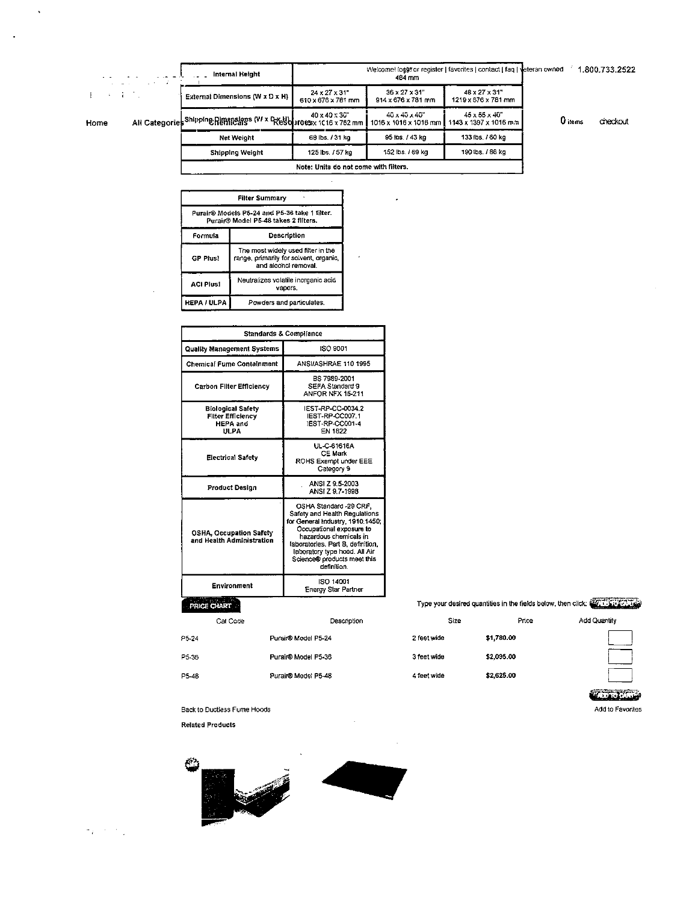| <b>Contract Contract</b> | Internal Height                                                    |                                                  | Welcome! loggr or register   favorites   contact   faq   veteran owned<br>484 mm |                                          |         | 1.800.733.2522 |
|--------------------------|--------------------------------------------------------------------|--------------------------------------------------|----------------------------------------------------------------------------------|------------------------------------------|---------|----------------|
|                          | External Dimensions (W x D x H)                                    | $24 \times 27 \times 31$ "<br>610 x 676 x 781 mm | $36 \times 27 \times 31$ "<br>$914 \times 676 \times 781$ mm                     | 48 x 27 x 31"<br>1219 x 676 x 781 mm     |         |                |
|                          | All Categories Shipping Rimmalages (V/ x Resolutoesx 1C16 x 762 mm | 40 x 40 x 36"                                    | 40 x 40 x 40"<br>1016 x 1016 x 1016 mm                                           | 45 x 55 x 40"<br>1143 x 1397 x 1016 m.n. | 0 items | checkout       |
|                          | Net Weight                                                         | 68 lbs. / 31 kg                                  | 95 lbs. / 43 kg                                                                  | 133 lbs. / 60 kg                         |         |                |
|                          | Shipping Weight                                                    | 125 lbs. / 57 kg                                 | 152 lbs. / 69 kg                                                                 | 190 lbs. / 86 kg                         |         |                |
|                          |                                                                    | Note: Units do not come with filters.            |                                                                                  |                                          |         |                |

 $\cdot$ 

| <b>Filter Summary</b>                                                                 |                                                                                                     |  |  |  |
|---------------------------------------------------------------------------------------|-----------------------------------------------------------------------------------------------------|--|--|--|
| Purair® Models P5-24 and P5-36 take 1 filter.<br>Purair® Model P5-48 takes 2 filters. |                                                                                                     |  |  |  |
| Formula                                                                               | Description                                                                                         |  |  |  |
| <b>GP Plus!</b>                                                                       | The most widely used filter in the<br>range, primarily for solvent, organic,<br>and alcohol removal |  |  |  |
| <b>ACI Plusi</b>                                                                      | Neutralizes volatile inorganic acid<br>vapors.                                                      |  |  |  |
| <b>HEPA / ULPA</b>                                                                    | Powders and particulates.                                                                           |  |  |  |

| <b>Standards &amp; Compliance</b>                                               |                                                                                                                                                                                                                                                                       |  |  |
|---------------------------------------------------------------------------------|-----------------------------------------------------------------------------------------------------------------------------------------------------------------------------------------------------------------------------------------------------------------------|--|--|
| Quality Management Systems                                                      | ISO 9001                                                                                                                                                                                                                                                              |  |  |
| <b>Chemical Fume Containment</b>                                                | ANSI/ASHRAE 110 1995                                                                                                                                                                                                                                                  |  |  |
| <b>Carbon Filter Efficiency</b>                                                 | BS 7989-2001<br>SEFA Standard 9<br><b>ANFOR NFX 15-211</b>                                                                                                                                                                                                            |  |  |
| <b>Biological Safety</b><br><b>Filter Efficiency</b><br><b>HEPA</b> and<br>ULPA | <b>IEST-RP-CC-0034.2</b><br>IEST-RP-CC007.1<br>IEST-RP-CC001-4<br><b>FN 1822</b>                                                                                                                                                                                      |  |  |
| Electrical Safety                                                               | UL-C-61616A<br><b>CE Mark</b><br>ROHS Exempt under EEE<br>Category 9                                                                                                                                                                                                  |  |  |
| <b>Product Design</b>                                                           | ANSI Z 9.5-2003<br>ANSI Z 9.7-1998                                                                                                                                                                                                                                    |  |  |
| <b>OSHA, Occupation Safety</b><br>and Health Administration                     | OSHA Standard -29 CRF,<br>Safety and Health Regulations<br>for General Industry, 1910.1450;<br>Occupational exposure to<br>hazardous chemicals in<br>laboratories. Part B. definition,<br>laboratory type hood. All Air<br>Science® products meet this<br>definition. |  |  |
| Environment                                                                     | ISO 14001<br>Energy Star Partner                                                                                                                                                                                                                                      |  |  |
| 27115-05-28-2                                                                   |                                                                                                                                                                                                                                                                       |  |  |

# PRICE CHART

| Cat Code |                     | Description |
|----------|---------------------|-------------|
| F5-24    | Purair® Model P5-24 |             |
| PS-36    | Purair® Model P5-36 |             |
| P5-48    | Purair® Model P5-48 |             |
|          |                     |             |

Type your desired quantities in the fields below, then click:

| Size        | Price      | <b>Add Quantit</b> |
|-------------|------------|--------------------|
| 2 feet wide | \$1,780.00 |                    |
| 3 feet wide | \$2,095.00 |                    |
| 4 feet wide | \$2,625.00 |                    |
|             |            | $-$                |

Back to Ductless Fume Hoods

**Related Products** 



| Tarix | $\sim$ | . . |  |
|-------|--------|-----|--|
|       |        |     |  |

 $\ddot{\phantom{0}}$ 

 $\frac{1}{2}$  ,  $\frac{1}{2}$  ,  $\frac{1}{2}$ 

 $\mathbf{F}^{\text{max}}$  is a  $\mathbf{F}$ 

Home

 $\ddot{\phantom{0}}$ 

Add to Favorites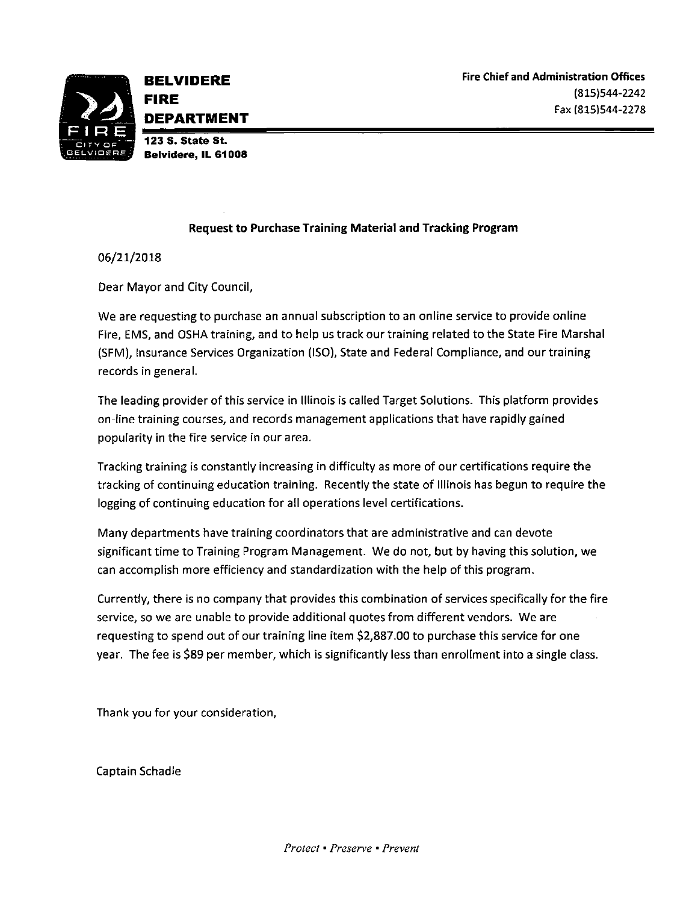

Belvidere, IL 61008

# Request to Purchase Training Material and Tracking Program

06/21/2018

Dear Mayor and City Council,

We are requesting to purchase an annual subscription to an online service to provide online Fire, EMS, and OSHA training, and to help us track our training related to the State Fire Marshal (SFM), Insurance Services Organization (ISO), State and Federal Compliance, and our training records in general.

The leading provider of this service in Illinois is called Target Solutions. This platform provides on- line training courses, and records management applications that have rapidly gained popularity in the fire service in our area.

Tracking training is constantly increasing in difficulty as more of our certifications require the tracking of continuing education training. Recently the state of Illinois has begun to require the logging of continuing education for all operations level certifications.

Many departments have training coordinators that are administrative and can devote significant time to Training Program Management. We do not, but by having this solution, we can accomplish more efficiency and standardization with the help of this program.

Currently, there is no company that provides this combination of services specifically for the fire service, so we are unable to provide additional quotes from different vendors. We are requesting to spend out of our training line item \$2, 887.00 to purchase this service for one year. The fee is \$89 per member, which is significantly less than enrollment into a single class.

Thank you for your consideration,

Captain Schadle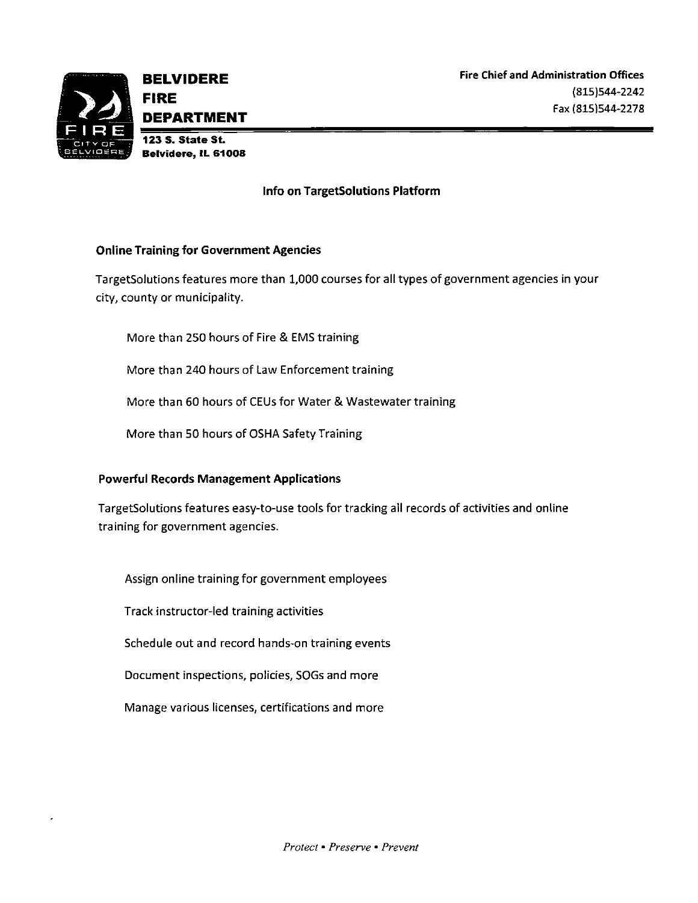

# Info on Targetsolutions Platform

# Online Training for Government Agencies

Targetsolutions features more than 1, 000 courses for all types of government agencies in your city, county or municipality.

More than 250 hours of Fire & EMS training

More than 240 hours of Law Enforcement training

More than 60 hours of CEUs for Water& Wastewater training

More than 50 hours of OSHA Safety Training

# Powerful Records Management Applications

TargetSolutions features easy-to-use tools for tracking all records of activities and online training for government agencies.

Assign online training for government employees

Track instructor-led training activities

Schedule out and record hands-on training events

Document inspections, policies, SOGs and more

Manage various licenses, certifications and more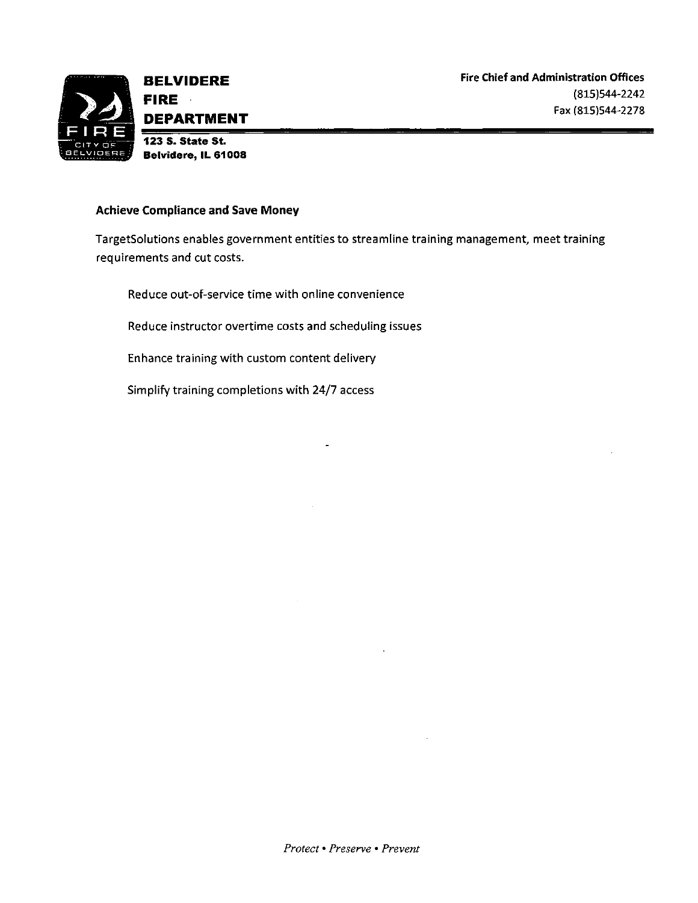

Achieve Compliance and Save Money

Target5olutions enables government entities to streamline training management, meet training requirements and cut costs.

Reduce out-of-service time with online convenience

Reduce instructor overtime costs and scheduling issues

Enhance training with custom content delivery

Simplify training completions with 24/7 access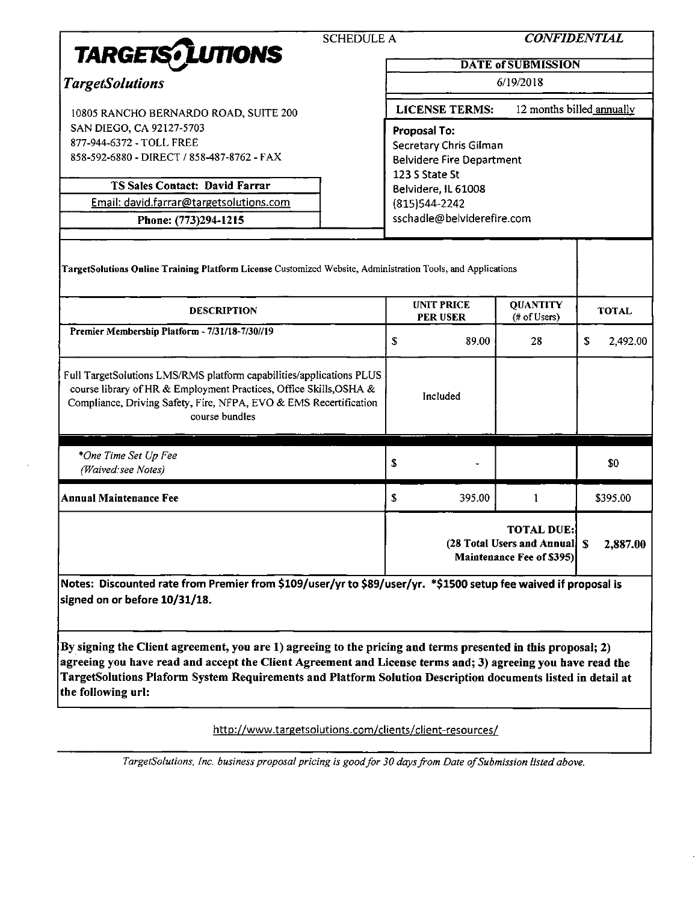|                                                                                                                                                                                                                                                                                                                                                                  | <b>SCHEDULE A</b> |                                                    |                                  | <b>CONFIDENTIAL</b>                                                              |    |              |
|------------------------------------------------------------------------------------------------------------------------------------------------------------------------------------------------------------------------------------------------------------------------------------------------------------------------------------------------------------------|-------------------|----------------------------------------------------|----------------------------------|----------------------------------------------------------------------------------|----|--------------|
| <b>TARGETS</b> <i>LUTIONS</i>                                                                                                                                                                                                                                                                                                                                    |                   | <b>DATE of SUBMISSION</b>                          |                                  |                                                                                  |    |              |
| <b>TargetSolutions</b>                                                                                                                                                                                                                                                                                                                                           |                   | 6/19/2018                                          |                                  |                                                                                  |    |              |
| 10805 RANCHO BERNARDO ROAD, SUITE 200                                                                                                                                                                                                                                                                                                                            |                   | 12 months billed annually<br><b>LICENSE TERMS:</b> |                                  |                                                                                  |    |              |
| SAN DIEGO, CA 92127-5703                                                                                                                                                                                                                                                                                                                                         |                   | <b>Proposal To:</b>                                |                                  |                                                                                  |    |              |
| 877-944-6372 - TOLL FREE                                                                                                                                                                                                                                                                                                                                         |                   | Secretary Chris Gilman                             |                                  |                                                                                  |    |              |
| 858-592-6880 - DIRECT / 858-487-8762 - FAX                                                                                                                                                                                                                                                                                                                       |                   |                                                    | <b>Belvidere Fire Department</b> |                                                                                  |    |              |
| <b>TS Sales Contact: David Farrar</b>                                                                                                                                                                                                                                                                                                                            |                   | 123 S State St                                     | Belvidere, IL 61008              |                                                                                  |    |              |
| Email: david.farrar@targetsolutions.com                                                                                                                                                                                                                                                                                                                          |                   | (815) 544-2242                                     |                                  |                                                                                  |    |              |
| Phone: (773)294-1215                                                                                                                                                                                                                                                                                                                                             |                   |                                                    | sschadle@belviderefire.com       |                                                                                  |    |              |
| TargetSolutions Online Training Platform License Customized Website, Administration Tools, and Applications                                                                                                                                                                                                                                                      |                   |                                                    |                                  |                                                                                  |    |              |
| <b>DESCRIPTION</b>                                                                                                                                                                                                                                                                                                                                               |                   |                                                    | <b>UNIT PRICE</b><br>PER USER    | <b>QUANTITY</b><br>(# of Users)                                                  |    | <b>TOTAL</b> |
| Premier Membership Platform - 7/31/18-7/30//19                                                                                                                                                                                                                                                                                                                   |                   | \$                                                 | 89.00                            | 28                                                                               | S. | 2,492.00     |
| Full TargetSolutions LMS/RMS platform capabilities/applications PLUS<br>course library of HR & Employment Practices, Office Skills, OSHA &<br>Compliance, Driving Safety, Fire, NFPA, EVO & EMS Recertification<br>course bundles                                                                                                                                |                   |                                                    | Included                         |                                                                                  |    |              |
| *One Time Set Up Fee                                                                                                                                                                                                                                                                                                                                             |                   |                                                    |                                  |                                                                                  |    |              |
| (Waived: see Notes)                                                                                                                                                                                                                                                                                                                                              |                   | \$                                                 |                                  |                                                                                  |    | \$0          |
| <b>Annual Maintenance Fee</b>                                                                                                                                                                                                                                                                                                                                    |                   | \$                                                 | 395.00                           | 1                                                                                |    | \$395.00     |
|                                                                                                                                                                                                                                                                                                                                                                  |                   |                                                    |                                  | <b>TOTAL DUE:</b><br>(28 Total Users and Annual) \$<br>Maintenance Fee of \$395) |    | 2,887.00     |
| Notes: Discounted rate from Premier from \$109/user/yr to \$89/user/yr. *\$1500 setup fee waived if proposal is<br>signed on or before 10/31/18.                                                                                                                                                                                                                 |                   |                                                    |                                  |                                                                                  |    |              |
| By signing the Client agreement, you are 1) agreeing to the pricing and terms presented in this proposal; 2)<br>agreeing you have read and accept the Client Agreement and License terms and; 3) agreeing you have read the<br>TargetSolutions Plaform System Requirements and Platform Solution Description documents listed in detail at<br>the following url: |                   |                                                    |                                  |                                                                                  |    |              |

http://www.targetsolutions.com/clients/client-resources/

TargetSolutions, Inc. business proposal pricing is good for 30 days from Date of Submission listed above.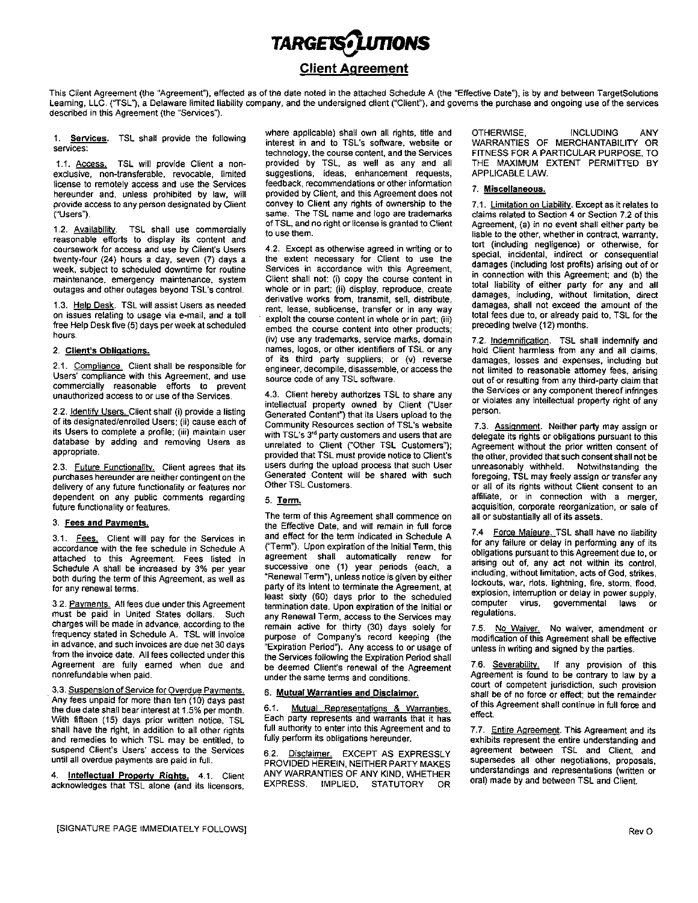# TARGETS<sup>J</sup>LUTIONS Client Agreement

This Client Agreement (the "Agreement"), effected as of the date noted in the attached Schedule A (the "Effective Date"), is by and between TargetSolutions Learning, LLC. ("TSL"), a Delaware limited liability company, and the undersigned client ("Client"), and governs the purchase and ongoing use of the services described in this Agreement (the "Services").

1. Services. TSL shall provide the following services:

exclusive, non-transferable, revocable, limited suggestions, ideas, enhancement requests,<br>license to remotely access and use the Services feedback, recommendations or other information license to remotely access and use the Services feedback, recommendations or other information<br>hereunder and, unless prohibited by law, will provided by Client, and this Agreement does not hereunder and, unless prohibited by law, will provided by Client, and this Agreement does not provide access to any person designated by Client convey to Client any rights of ownership to the provide access to any person designated by Client convey to Client any rights of ownership to the 7.1. Limitation on Liability. Except as it relates to same. The TSL name and logo are trademarks claims related to Section 4

1. 2. Availability. TSL shall use commercially reasonable efforts to display its content and<br>coursework for access and use by Client's Users twenty-four (24) hours a day, seven (7) days a the extent necessary for Client to use the week, subject to scheduled downtime for routine Services in accordance with this Agreement, werk, subject to scheduled downtime for routine Services in accordance with this Agreement,<br>maintenance, emergency maintenance, system Client shall not: (i) copy the course content in the line line in connection with this maintenance, emergency maintenance, system Client shall not: (i) copy the course content in outages and other outages beyond TSL's control. whole or in part; (ii) display, reproduce, create

1.3. Help Desk. TSL will assist Users as needed on issues relating to usage via e- mail, and <sup>a</sup> toll free Help Desk five (5) days per week at scheduled hours.

Users' compliance with this Agreement, and use source code of any TSL software. commercially reasonable efforts to prevent unauthorized access to or use of the Services. 4.3. Client hereby authorizes TSL to share any

2.2. Identify Users. Client shall (i) provide a listing of its designated/enrolled Users; (ii) cause each of of its designated/enrolled Users; (ii) cause each of Community Resources section of TSL's website 7.3. Assignment. Neither party may assign or<br>its Users to complete a profile; (iii) maintain user with TSL's 3<sup>rd</sup> party cus database by adding and removing Users as appropriate.

purchases hereunder are neither contingent on the Generated Content with delivery of any future functionality or features nor Other TSL Customers. delivery of any future functionality or features nor dependent on any public comments regarding 5. Term. Term and the state of the affiliate, or in connection with a merger,  $f$ uture functionality or features.

accordance with the fee schedule in Schedule A ("Term"). Upon expiration of the Initial Term, this for any failure or delay in performing any or its<br>attached to this Agreement. Fees listed in agreement shall automatically attached to this Agreement. Fees listed in Schedule A shall be increased by 3% per year both during the term of this Agreement, as well as for any renewal terms.

must be paid in United States dollars. Such charges will be made in advance, according to the frequency stated in Schedule A. TSL will invoice<br>in advance, and such invoices are due net 30 days in advance, and such invoices are due net 30 days<br>from the invoice date. All fees collected under this the Services following the Expiration Period shall<br>Agreement are fully earned when due and be deemed Client's renewal o Agreement are fully earned when due and be deemed Client's renewal of the Agreement 7.6. Severability. If any provision of this renewal of the Agreement 7.6. Severability. If any provision of this renewal of the Agreement nonrefundable when paid.

Any fees unpaid for more than ten (10) days past the due date shall bear interest at 1.5% per month. 6.1. Mutual Representations & Warranties. of this effect the due date shall bear interest at 1.5% per month. 6.1. Mutual Representations & Warranties.<br>With fifteen (15) davs prior written notice TSL Each party represents and warrants that it has With fifteen (15) days prior written notice, TSL Each party represents and warrants that it has <br>shall have the right, in addition to all other rights full authority to enter into this Agreement and to shall have the right, in addition to all other rights and remedies to which TSL may be entitled, to if fully perform its obligations hereunder. The exhibits represent the entire understanding and client, and client, and client, and client, and suspend Client's Users' access to the Services errors, and <u>Disclaimer.</u> EXCEPT AS EXPRESSLY agreement between TSL and Client, and in the Services end on the Services end of the Services of the Services end of the Service

4. Intellectual Property Rights. 4.1. Client acknowledges that TSL alone (and its licensors, EXPRESS, IMPLIED, STATUTORY OR

interest in and to TSL's software, website or technology, the course content, and the Services FITNESS FOR A PARTICULAR PURPOSE, TO provided by TSL, as well as any and all THE MAXIMUM EXTENT PERMITTED BY suggestions, ideas, enhancement requests, APPLICABLE LAW. 1.1. Access. TSL will provide Client a non- provided by TSL, as well as any and all THE MAXIMUM Example of the<br>Exclusive non-transferable revocable limited suggestions, ideas, enhancement requests. APPLICABLELAW. same. The TSL name and logo are trademarks of TSL, and no right or license is granted to Client of TSL, and no right or license is granted to Client Agreement, (a) in no event shall either party be<br>to use them.<br>liable to the other, whether in contract, warranty

4.2. Except as otherwise agreed in writing or to the extent necessary for Client to use the outages and other outages beyond TSL's control. whole or in part; (ii) display, reproduce, create total liability of either party for any and all<br>derivative works from transmit sell distribute damages, including, without l derivative works from, transmit, sell, distribute, damages, including, without limitation, direct damages of the rent, lease, sublicense, transfer or in any way exploit the course content in whole or in part; (iii) embed the course content into other products; (iv) use any trademarks, service marks, domain 7.2. Indemnification. TSL shall indemnify and<br>names, logos, or other identifiers of TSL or any hold Client harmless from any and all claims. 2. Client's Obligations. This case of its third party suppliers of TSL or any hold Client harmless from any and all claims,<br>A committee of the consequences of its third party suppliers; or (v) reverse damages, losses and e 2.1. Compliance. Client shall be responsible for and engineer, decompile, disassemble, or access the not limited to reasonable attorney fees, arising

intellectual property owned by Client ("User Generated Content") that its Users upload to the with TSL's 3<sup>rd</sup> party customers and users that are with TSL's 3<sup>rd</sup> party customers and users that are delegate its rights or obligations pursuant to this unrelated to Client ("Other TSL Customers"); Agreement without the prior written consent of provided that TSL must provide notice to Client's<br>users during the upload process that such User 2.3. Future Functionality. Client agrees that its users during the upload process that such User unreasonably withheld. Notwithstanding the purchases hereunder are neither contingent on the Generated Content will be shared

The term of this Agreement shall commence on 3. Fees and Payments.<br>
the Effective Date, and will remain in full force<br>
3.1 Fees Client will nay for the Services in and effect for the term indicated in Schedule A 3.1. Fees. Client will pay for the Services in and effect for the term indicated in Schedule A accordance with the fee schedule in Schedule A  $($  "Term"). Upon expiration of the Initial Term, this successive one (1) year periods (each, a<br>"Renewal Term"), unless notice is given by either party of its intent to terminate the Agreement, at lockouts, war, riots, lightning, fire, storm, flood, for any renewal terms. public terms. p y gast terms. p y gast it any renewal terms. p y any renewal terms. p y gast it least sixty (60) days prior to the scheduled explosion, interruption or delay in power supply,<br>termination date Upon expiration of the leiting computer virus, governmental laws or 3.2. Payments. All fees due under this Agreement termination date. Upon expiration of the Initial or any Renewal Term, access to the Services may remain active for thirty (30) days solely for 7.5. No Waiver, No waiver, amendment or purpose of Company's record keeping (the modification of this Agreement shall be effective under the same terms and conditions.

full authority to enter into this Agreement and to 7.7. Entire Agreement. This Agreement and its<br>fully perform its obligations hereunder. exhibits represent the entire understanding and

UNTIL DED HEREIN, NEITHER PARTY MAKES supersedes all other negotiations, proposals,<br>ANY WARRANTIES OF ANY KIND WHETHER understandings and representations (written or ANY WARRANTIES OF ANY KIND, WHETHER understandings and representations (written EXPRESS, IMPLIED, STATUTORY OR

where applicable) shall own all rights, title and OTHERWISE, **INCLUDING** ANY<br>interest in and to TSL's software, website or WARRANTIES OF MERCHANTABILITY OR

# 7. Miscellaneous.

liable to the other, whether in contract, warranty, tort (including negligence) or otherwise, for special, incidental, indirect or consequential connection with this Agreement; and (b) the total liability of either party for any an total fees due to, or already paid to, TSL for the preceding twelve (12) months.

out of or resulting from any third-party claim that the Services or any component thereof infringes<br>or violates any intellectual property right of any person.

Agreement without the prior written consent of the other, provided that such consent shall not be or all of its rights without Client consent to an acquisition, corporate reorganization, or sale of<br>all or substantially all of its assets.

7.4 Force Majeure. TSL shall have no liability for any failure or delay in performing any of its arising out of, any act not within its control, including, without limitation, acts of God, strikes, lockouts, war, riots, lightning, fire, storm, flood, virus, governmental laws regulations.

modification of this Agreement shall be effective<br>unless in writing and signed by the parties.

court of competent jurisdiction, such provision<br>shall be of no force or effect; but the remainder 3.3. Suspension of Service for Overdue Payments. 6. Mutual Warranties and Disclaimer. Shall be of no force or effect; but the remainder<br>Any fees unpaid for more than ten (10) days past and the Mutual Pencesentations 8. War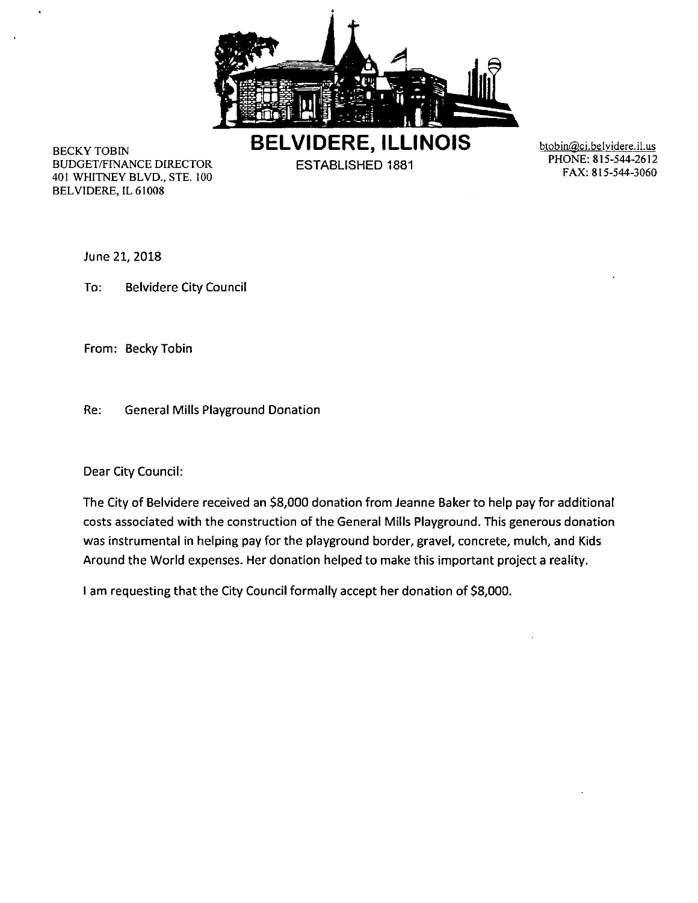

BELVIDERE, ILLINOIS btobin@ci.belvidere.il.us

BUDGET/FINANCE DIRECTOR ESTABLISHED 1881 1001 BODGEM IN NORDEN CONSUMER THE CONSUMING STREET TOOL FOR THE FAX: 815-544-3060 BELVIDERE, IL 61008

PHONE: 815-544-2612

June 21, 2018

To: Belvidere City Council

From: Becky Tobin

Re: General Mills Playground Donation

Dear City Council:

The City of Belvidere received an \$8,000 donation from Jeanne Baker to help pay for additional costs associated with the construction of the General Mills Playground. This generous donation was instrumental in helping pay for the playground border, gravel, concrete, mulch, and Kids Around the World expenses. Her donation helped to make this important project a reality.

I am requesting that the City Council formally accept her donation of \$8,000.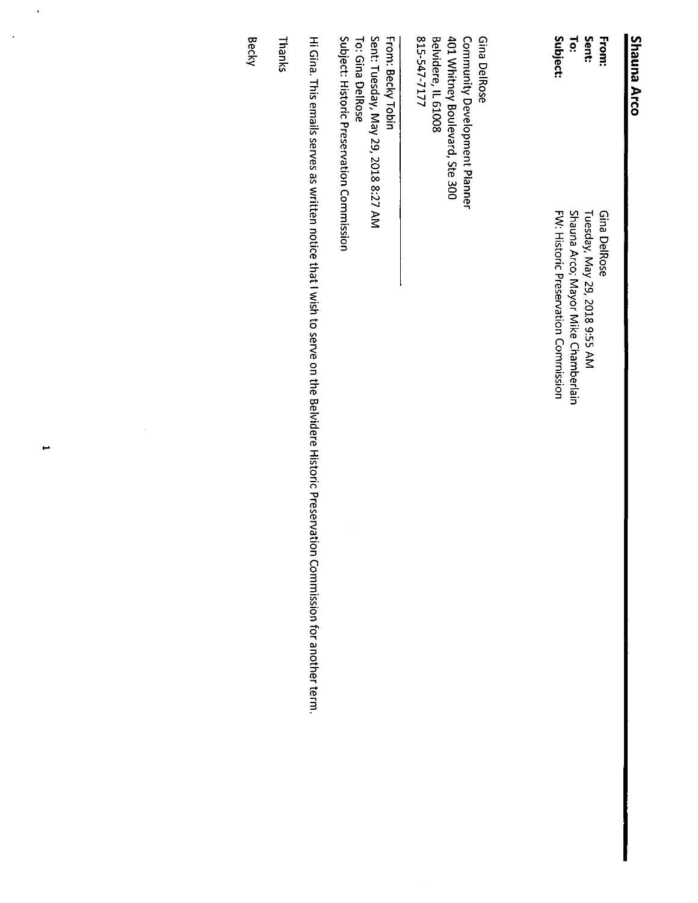# **Shauna Arco**

 $\vec{p}$ Sent: From: **Subject:** Shauna Arco; Mayor Mike Chamberlain FW: Historic Preservation Commission Tuesday, May 29, 2018 9:55 AM Gina DelRose

Belvidere, IL 61008<br>815-547-7177 Gina DelRose 401 Whitney Boulevard, Ste 300 Community Development Planner

Subject: Historic Preservation Commission Sent: Tuesday, May 29, 2018 8:27 AM To: Gina DelRose From: Becky Tobin

Hi Gina. This emails serves as written notice that I wish to serve on the Belvidere Historic Preservation Commission for another term.

Thanks

**Becky** 

 $\overline{ }$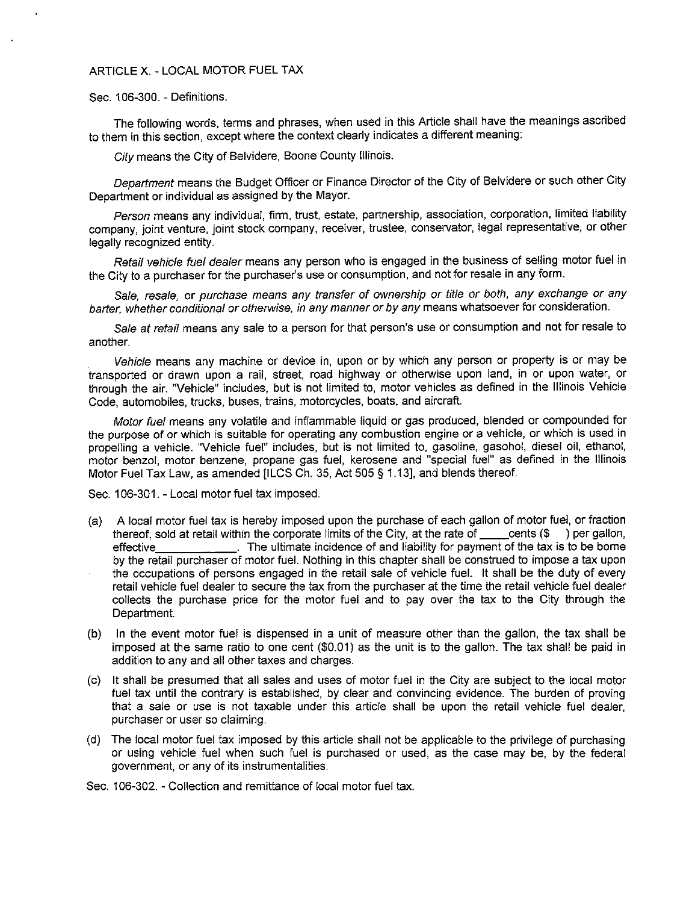# ARTICLE X. - LOCAL MOTOR FUEL TAX

# Sec. 106-300. - Definitions.

The following words, terms and phrases, when used in this Article shall have the meanings ascribed to them in this section, except where the context clearly indicates a different meaning:

City means the City of Belvidere, Boone County Illinois.

Department means the Budget Officer or Finance Director of the City of Belvidere or such other City Department or individual as assigned by the Mayor.

Person means any individual, firm, trust, estate, partnership, association, corporation, limited liability company, joint venture, joint stock company, receiver, trustee, conservator, legal representative, or other legally recognized entity.

Retail vehicle fuel dealer means any person who is engaged in the business of selling motor fuel in the City to a purchaser for the purchaser's use or consumption, and not for resale in any form.

Sale, resale, or purchase means any transfer of ownership or title or both, any exchange or any barter, whether conditional or otherwise, in any manner or by any means whatsoever for consideration.

Sale at retail means any sale to a person for that person's use or consumption and not for resale to another.

Vehicle means any machine or device in, upon or by which any person or property is or may be transported or drawn upon a rail, street, road highway or otherwise upon land, in or upon water, or through the air. " Vehicle" includes, but is not limited to, motor vehicles as defined in the Illinois Vehicle Code, automobiles, trucks, buses, trains, motorcycles, boats, and aircraft.

Motor fuel means any volatile and inflammable liquid or gas produced, blended or compounded for the purpose of or which is suitable for operating any combustion engine or a vehicle, or which is used in propelling a vehicle. " Vehicle fuel" includes, but is not limited to, gasoline, gasohol, diesel oil, ethanol, motor benzol, motor benzene, propane gas fuel, kerosene and " special fuel" as defined in the Illinois Motor Fuel Tax Law, as amended [ILCS Ch. 35, Act 505 § 1.13], and blends thereof.

Sec. 106-301. - Local motor fuel tax imposed.

- (a) A local motor fuel tax is hereby imposed upon the purchase of each gallon of motor fuel, or fraction thereof sold at retail within the corporate limits of the City, at the rate of cents (\$) per gallon, thereof, sold at retail within the corporate limits of the City, at the rate of effective The ultimate incidence of and liability for payment of the tax is to be borne by the retail purchaser of motor fuel. Nothing in this chapter shall be construed to impose a tax upon the occupations of persons engaged in the retail sale of vehicle fuel. It shall be the duty of every retail vehicle fuel dealer to secure the tax from the purchaser at the time the retail vehicle fuel dealer collects the purchase price for the motor fuel and to pay over the tax to the City through the Department.
- b) In the event motor fuel is dispensed in a unit of measure other than the gallon, the tax shall be imposed at the same ratio to one cent (\$0.01) as the unit is to the gallon. The tax shall be paid in addition to any and all other taxes and charges.
- c) It shall be presumed that all sales and uses of motor fuel in the City are subject to the local motor fuel tax until the contrary is established, by clear and convincing evidence. The burden of proving that a sale or use is not taxable under this article shall be upon the retail vehicle fuel dealer, purchaser or user so claiming.
- d) The local motor fuel tax imposed by this article shall not be applicable to the privilege of purchasing or using vehicle fuel when such fuel is purchased or used, as the case may be, by the federal government, or any of its instrumentalities.

Sec. 106-302. - Collection and remittance of local motor fuel tax.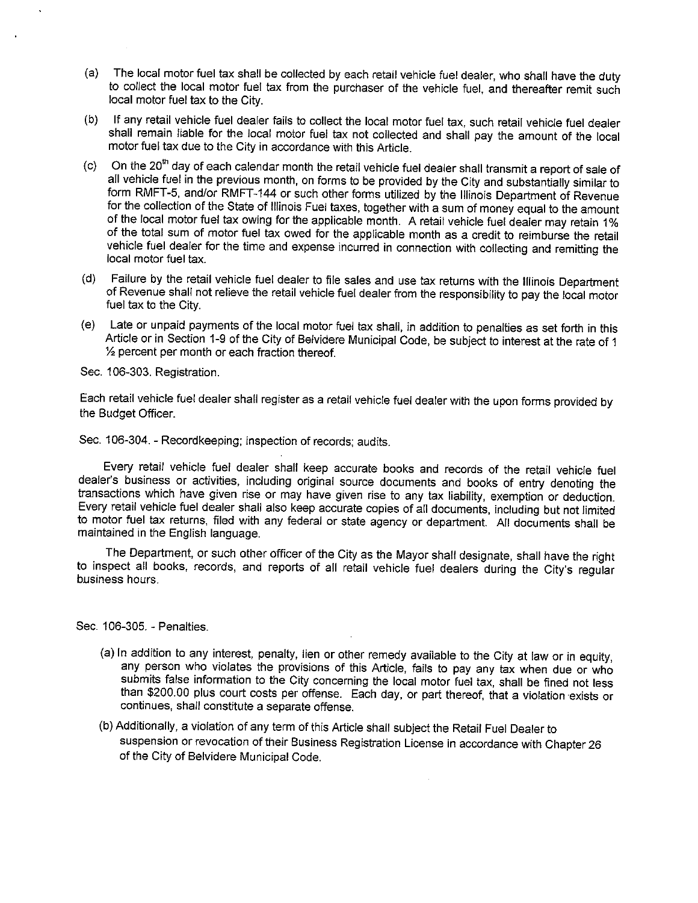- a) The local motor fuel tax shall be collected by each retail vehicle fuel dealer, who shall have the duty to collect the local motor fuel tax from the purchaser of the vehicle fuel, and thereafter remit such local motor fuel tax to the City.
- b) If any retail vehicle fuel dealer fails to collect the local motor fuel tax, such retail vehicle fuel dealer shall remain liable for the local motor fuel tax not collected and shall pay the amount of the local motor fuel tax due to the City in accordance with this Article.
- $\text{c}$ ) On the 20<sup>th</sup> day of each calendar month the retail vehicle fuel dealer shall transmit a report of sale of all vehicle fuel in the previous month, on forms to be provided by the City and substantially similar to form RMFT-5, and/or RMFT-144 or such other forms utilized by the Illinois Department of Revenue for the collection of the State of Illinois Fuel taxes, together with a sum of money equal to the amount of the local motor fuel tax owing for the applicable month. A retail vehicle fuel dealer may retain 1% of the total sum of motor fuel tax owed for the applicable month as a credit to reimburse the retail vehicle fuel dealer for the time and expense incurred in connection with collecting and remitting the local motor fuel tax.
- d) Failure by the retail vehicle fuel dealer to file sales and use tax returns with the Illinois Department of Revenue shall not relieve the retail vehicle fuel dealer from the responsibility to pay the local motor fuel tax to the City.
- e) Late or unpaid payments of the local motor fuel tax shall, in addition to penalties as set forth in this Article or in Section 1-9 of the City of Belvidere Municipal Code, be subject to interest at the rate of 1  $\frac{1}{2}$  percent per month or each fraction thereof.

Sec. 106-303. Registration.

Each retail vehicle fuel dealer shall register as a retail vehicle fuel dealer with the upon forms provided by the Budget Officer.

Sec. 106-304. - Recordkeeping; inspection of records; audits.

Every retail vehicle fuel dealer shall keep accurate books and records of the retail vehicle fuel dealer's business or activities, including original source documents and books of entry denoting the transactions which have given rise or may have given rise to any tax liability, exemption or deduction. Every retail vehicle fuel dealer shall also keep accurate copies of all documents, including but not limited to motor fuel tax returns, filed with any federal or state agency or department. All documents shall be maintained in the English language.

The Department, or such other officer of the City as the Mayor shall designate, shall have the right to inspect all books, records, and reports of all retail vehicle fuel dealers during the City's regular business hours.

Sec. 106-305. - Penalties.

- a) In addition to any interest, penalty, lien or other remedy available to the City at law or in equity, any person who violates the provisions of this Article, fails to pay any tax when due or who submits false information to the City concerning the local motor fuel tax, shall be fined not less than \$ 200. 00 plus court costs per offense. Each day, or part thereof, that a violation exists or continues, shall constitute a separate offense.
- b) Additionally, a violation of any term of this Article shall subject the Retail Fuel Dealer to suspension or revocation of their Business Registration License in accordance with Chapter 26 of the City of Belvidere Municipal Code.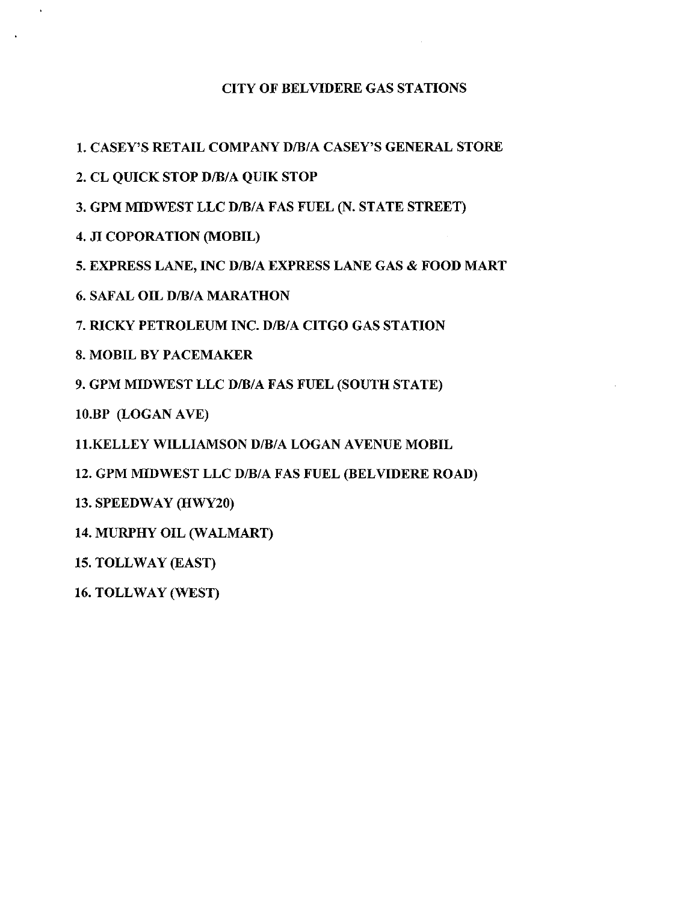# CITY OF BELVIDERE GAS STATIONS

1. CASEY'S RETAIL COMPANY D/B/A CASEY'S GENERAL STORE

2. CL QUICK STOP D/B/A QUIK STOP

3. GPM MIDWEST LLC D/B/A FAS FUEL (N. STATE STREET)

4. JI COPORATION (MOBIL)

5. EXPRESS LANE, INC D/B/A EXPRESS LANE GAS & FOOD MART

6. SAFAL OIL D/B/A MARATHON

7. RICKY PETROLEUM INC. D/B/A CITGO GAS STATION

8. MOBIL BY PACEMAKER

9. GPM MIDWEST LLC D/B/A FAS FUEL (SOUTH STATE)

10.BP (LOGAN AVE)

11. KELLEY WILLIAMSON D/B/A LOGAN AVENUE MOBIL

12. GPM MIDWEST LLC D/B/A FAS FUEL ( BELVIDERE ROAD)

13. SPEEDWAY (HWY20)

14. MURPHY OIL (WALMART)

15. TOLLWAY (EAST)

16. TOLLWAY ( WEST)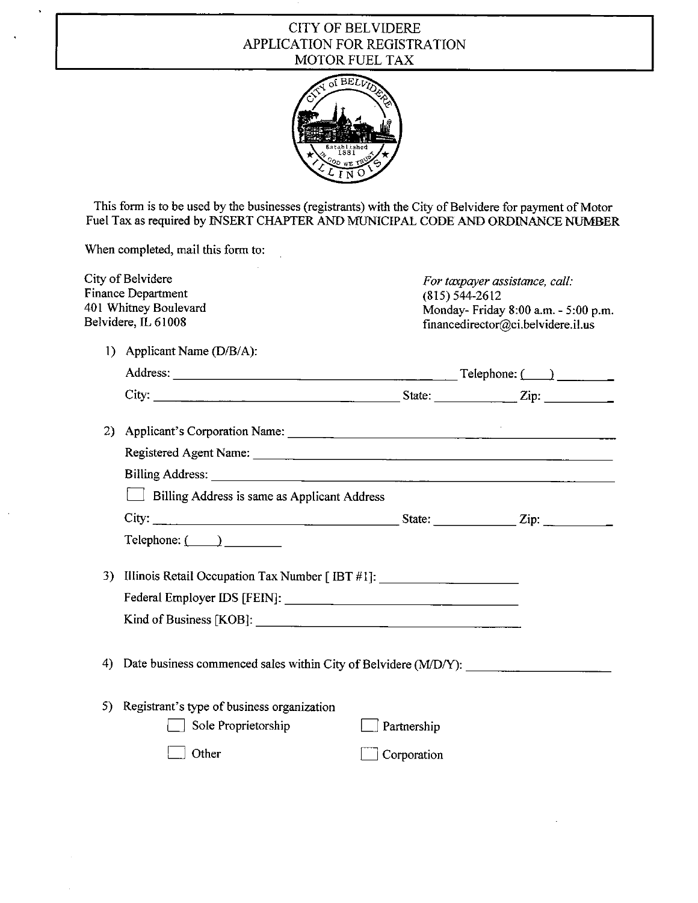# CITY OF BELVIDERE APPLICATION FOR REGISTRATION MOTOR FUEL TAX



This form is to be used by the businesses( registrants) with the City of Belvidere for payment of Motor Fuel Tax as required by INSERT CHAPTER AND MUNICIPAL CODE AND ORDINANCE NUMBER

When completed, mail this form to:

 $\bar{z}$ 

|     | City of Belvidere<br><b>Finance Department</b><br>401 Whitney Boulevard<br>Belvidere, IL 61008                                                    | $(815) 544 - 2612$ | For taxpayer assistance, call:<br>Monday- Friday 8:00 a.m. - 5:00 p.m.<br>financedirector@ci.belvidere.il.us |
|-----|---------------------------------------------------------------------------------------------------------------------------------------------------|--------------------|--------------------------------------------------------------------------------------------------------------|
|     | 1) Applicant Name (D/B/A):                                                                                                                        |                    |                                                                                                              |
|     |                                                                                                                                                   |                    |                                                                                                              |
|     |                                                                                                                                                   |                    |                                                                                                              |
|     | 2) Applicant's Corporation Name:                                                                                                                  |                    |                                                                                                              |
|     |                                                                                                                                                   |                    |                                                                                                              |
|     |                                                                                                                                                   |                    |                                                                                                              |
|     | Billing Address is same as Applicant Address                                                                                                      |                    |                                                                                                              |
|     | City: $\qquad \qquad \qquad \qquad \qquad \qquad \qquad \qquad \qquad \qquad \text{State:} \qquad \qquad \qquad \qquad \text{Zip:} \qquad \qquad$ |                    |                                                                                                              |
|     | $\text{Telephone:} \quad \text{________}$                                                                                                         |                    |                                                                                                              |
|     | 3) Illinois Retail Occupation Tax Number [ IBT #1]: ____________________________                                                                  |                    |                                                                                                              |
|     |                                                                                                                                                   |                    |                                                                                                              |
|     |                                                                                                                                                   |                    |                                                                                                              |
| 4)  |                                                                                                                                                   |                    |                                                                                                              |
| 5). | Registrant's type of business organization                                                                                                        |                    |                                                                                                              |
|     | Sole Proprietorship                                                                                                                               | Partnership        |                                                                                                              |
|     | Other                                                                                                                                             | Corporation        |                                                                                                              |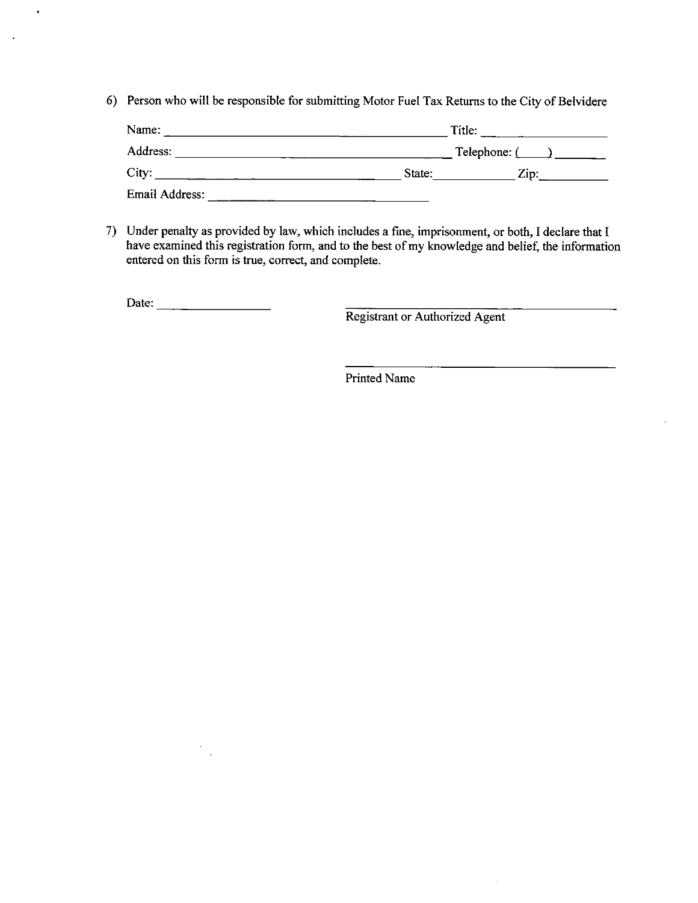6) Person who will be responsible for submitting Motor Fuel Tax Returns to the City of Belvidere

| Name:                 | Title: |                 |  |
|-----------------------|--------|-----------------|--|
| Address:              |        | Telephone: $($  |  |
| City:                 | State: | $\mathbf{Zip:}$ |  |
| <b>Email Address:</b> |        |                 |  |

7) Under penalty as provided by law, which includes a fine, imprisonment, or both, I declare that I have examined this registration form, and to the best of my knowledge and belief, the information entered on this form is true, correct, and complete.

Date:

 $\sim$ l,

 $\ddot{\bullet}$ 

 $\mathcal{A}$ 

Registrant or Authorized Agent

 $\bar{z}$ 

Printed Name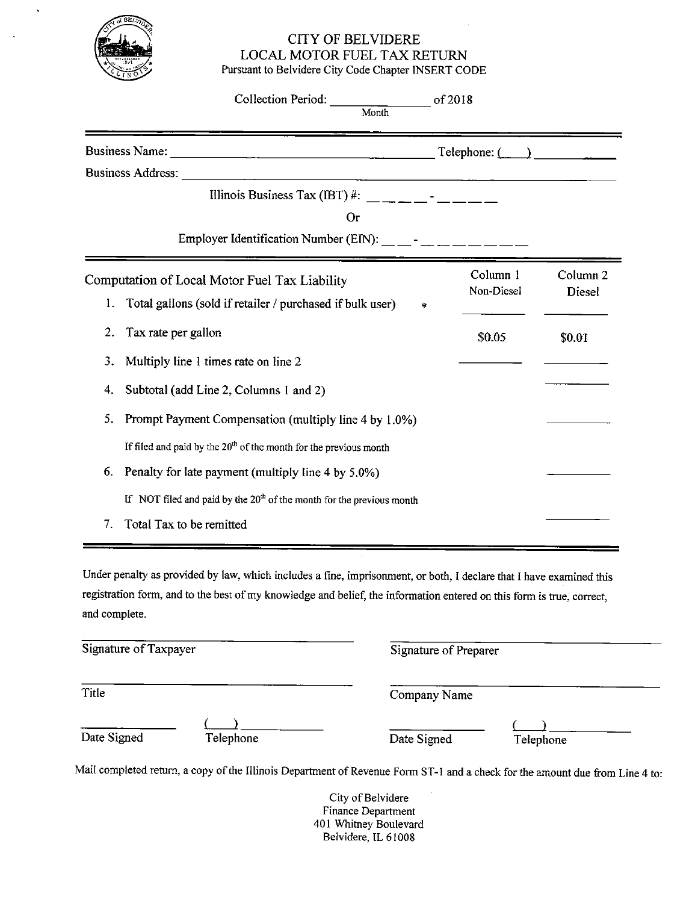

# CITY OF BELVIDERE LOCAL MOTOR FUEL TAX RETURN Pursuant to Belvidere City Code Chapter INSERT CODE

|                                 | Collection Period:<br>of 2018<br>Month                                                                                                                                                                                     |                                      |                                      |
|---------------------------------|----------------------------------------------------------------------------------------------------------------------------------------------------------------------------------------------------------------------------|--------------------------------------|--------------------------------------|
|                                 | <b>Business Name:</b>                                                                                                                                                                                                      | $\text{Telephone:} \quad \text{---}$ |                                      |
|                                 | <b>Business Address:</b><br>Illinois Business Tax (IBT) #: __ _ _ _ _ _ _ _ _<br>O <sub>I</sub><br>Employer Identification Number (EIN): $\frac{1}{1-\frac{1}{2}}$ = $\frac{1}{1-\frac{1}{2}}$ = $\frac{1}{1-\frac{1}{2}}$ |                                      |                                      |
| 1.                              | Computation of Local Motor Fuel Tax Liability<br>Total gallons (sold if retailer / purchased if bulk user)<br>$\ast$                                                                                                       | Column 1<br>Non-Diesel               | Column <sub>2</sub><br><b>Diesel</b> |
| 2.<br>3.<br>4.                  | Tax rate per gallon<br>Multiply line 1 times rate on line 2<br>Subtotal (add Line 2, Columns 1 and 2)                                                                                                                      | \$0.05                               | <b>SO.01</b>                         |
| 5.<br>6.                        | Prompt Payment Compensation (multiply line 4 by 1.0%)<br>If filed and paid by the $20th$ of the month for the previous month<br>Penalty for late payment (multiply line 4 by 5.0%)                                         |                                      |                                      |
| $7_{\scriptscriptstyle{\circ}}$ | If NOT filed and paid by the $20th$ of the month for the previous month<br>Total Tax to be remitted                                                                                                                        |                                      |                                      |

Under penalty as provided by law, which includes a fine, imprisonment, or both, I declare that I have examined this registration form, and to the best of my knowledge and belief, the information entered on this form is true, correct, and complete.

| Signature of Taxpayer |           | Signature of Preparer |           |
|-----------------------|-----------|-----------------------|-----------|
| Title                 |           | Company Name          |           |
| Date Signed           | Telephone | Date Signed           | Telephone |

Mail completed return, a copy of the Illinois Department of Revenue Form ST-1 and a check for the amount due from Line 4 to:

City of Belvidere Finance Department 401 Whitney Boulevard Belvidere, IL 61008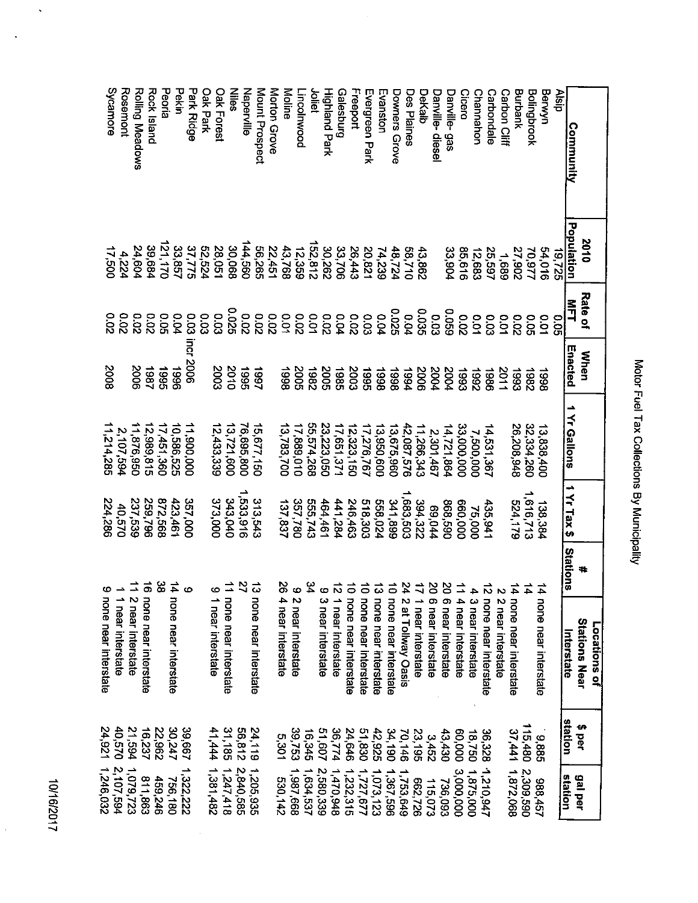# Motor Fuel Tax Collections By Municipality

10/16/2017

 $\ddot{\phantom{1}}$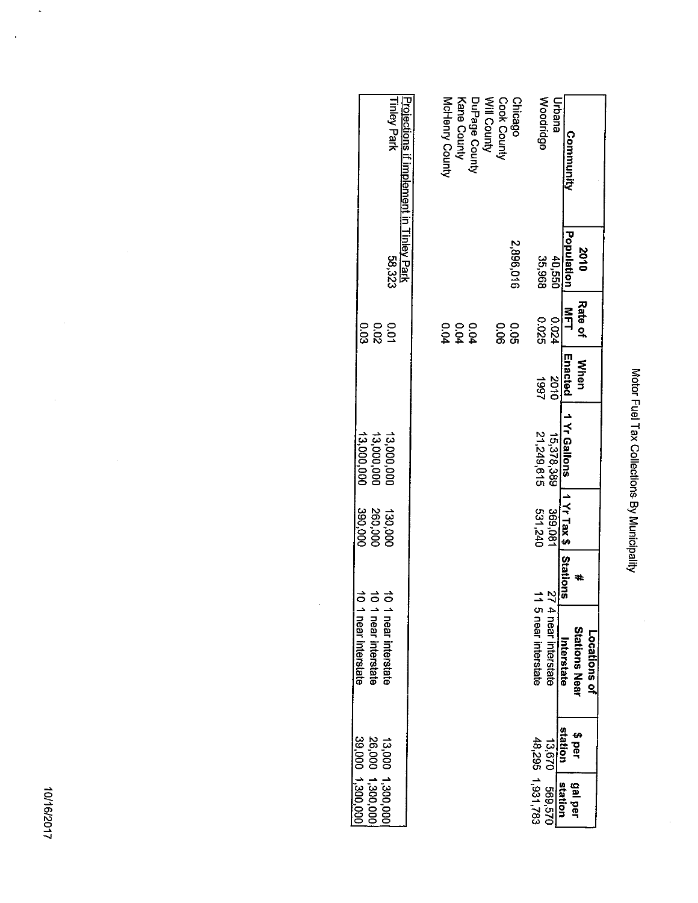| Community                                                     | Population<br>0102 | Rate of<br>呂コ         | Enacted<br><b>When</b> | 1 Yr Gallons             | 11 Yr Tax \$   Stations |                 | <b>Stations Near</b><br>Locations of<br>Interstate | station<br>\$ per | ded left                             |
|---------------------------------------------------------------|--------------------|-----------------------|------------------------|--------------------------|-------------------------|-----------------|----------------------------------------------------|-------------------|--------------------------------------|
| Urbana                                                        | 10,550             | 1200                  | 0102                   | 15,378,389               | 369,081                 | $\mathbb{Z}$    | 4 near interstate                                  | 13.670            | 029'699<br><b>station</b>            |
| Woodridge                                                     | 35,968             | 92010                 | 1997                   | 21,249,615               | 531,240                 |                 | 5 near interstate                                  |                   | 48,295 1,931,783                     |
| Will County<br>Cook County<br><b>Chicago</b>                  | 2,896,016          | 0.05<br><b>0.06</b>   |                        |                          |                         |                 |                                                    |                   |                                      |
| DuPage County                                                 |                    |                       |                        |                          |                         |                 |                                                    |                   |                                      |
| Kane County                                                   |                    | 0 0 0<br>2 2 2<br>2 2 |                        |                          |                         |                 |                                                    |                   |                                      |
| McHenry County                                                |                    |                       |                        |                          |                         |                 |                                                    |                   |                                      |
|                                                               |                    |                       |                        |                          |                         |                 |                                                    |                   |                                      |
| <b>Tinley Park</b><br>Projections if implement in Tinley Park | 58,323             | <b>0.01</b>           |                        | 13,000,000               | 130,000                 | $\vec{0}$       | 1 near interstate                                  |                   |                                      |
|                                                               |                    | ິດ<br>ຂ               |                        | 13,000,000<br>13,000,000 | 390,000<br>260,000      | $\vec{0}$<br>ਠੋ | 1 near interstate                                  |                   | 13,000 1,300,000<br>26,000 1,300,000 |
|                                                               |                    |                       |                        |                          |                         |                 | 1 near interstate                                  |                   | 39,000 1,300,000                     |

l,

Motor Fuel Tax Collections By Municipality

10/16/2017

 $\ddot{\phantom{0}}$ 

Ŷ,

 $\hat{\boldsymbol{\beta}}$ 

 $\ddot{\phantom{0}}$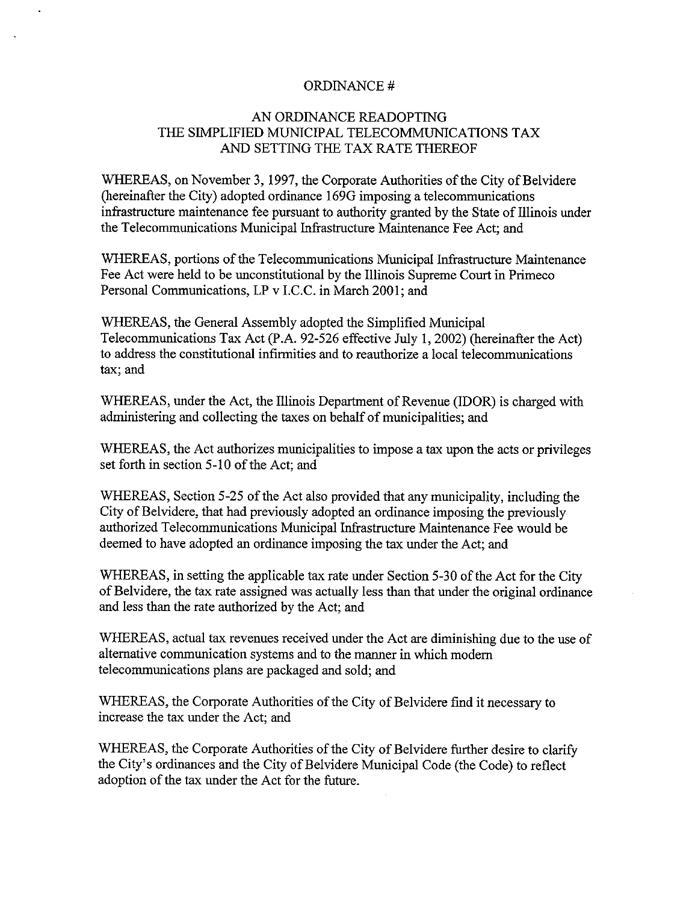# ORDINANCE#

# AN ORDINANCE READOPTING THE SIMPLIFIED MUNICIPAL TELECOMMUNICATIONS TAX AND SETTING THE TAX RATE THEREOF

WHEREAS, on November 3, 1997, the Corporate Authorities of the City of Belvidere hereinafter the City) adopted ordinance 169G imposing a telecommunications infrastructure maintenance fee pursuant to authority granted by the State of Illinois under the Telecommunications Municipal Infrastructure Maintenance Fee Act; and

WHEREAS, portions of the Telecommunications Municipal Infrastructure Maintenance Fee Act were held to be unconstitutional by the Illinois Supreme Court in Primeco Personal Communications, LP v I.C.C. in March 2001; and

WHEREAS, the General Assembly adopted the Simplified Municipal Telecommunications Tax Act (P.A. 92-526 effective July 1, 2002) (hereinafter the Act) to address the constitutional infirmities and to reauthorize a local telecommunications tax; and

WHEREAS, under the Act, the Illinois Department of Revenue (IDOR) is charged with administering and collecting the taxes on behalf of municipalities; and

WHEREAS, the Act authorizes municipalities to impose a tax upon the acts or privileges set forth in section 5-10 of the Act; and

WHEREAS, Section 5-25 of the Act also provided that any municipality, including the City of Belvidere, that had previously adopted an ordinance imposing the previously authorized Telecommunications Municipal Infrastructure Maintenance Fee would be deemed to have adopted an ordinance imposing the tax under the Act; and

WHEREAS, in setting the applicable tax rate under Section 5-30 of the Act for the City of Belvidere, the tax rate assigned was actually less than that under the original ordinance and less than the rate authorized by the Act; and

WHEREAS, actual tax revenues received under the Act are diminishing due to the use of alternative communication systems and to the manner in which modern telecommunications plans are packaged and sold; and

WHEREAS, the Corporate Authorities of the City of Belvidere find it necessary to increase the tax under the Act; and

WHEREAS, the Corporate Authorities of the City of Belvidere further desire to clarify the City' <sup>s</sup> ordinances and the City of Belvidere Municipal Code ( the Code) to reflect adoption of the tax under the Act for the future.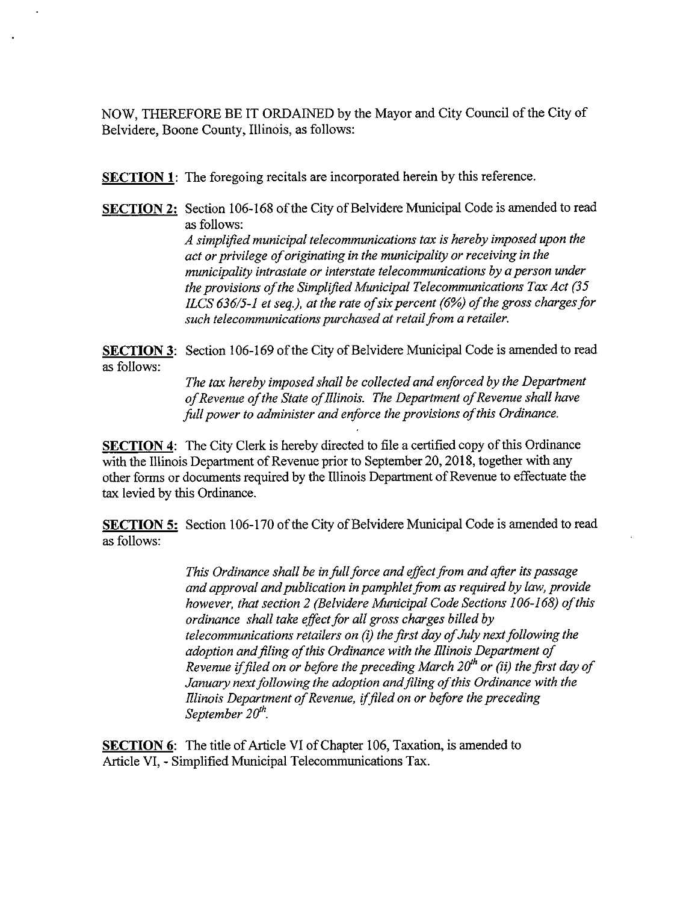NOW, THEREFORE BE IT ORDAINED by the Mayor and City Council of the City of Belvidere, Boone County, Illinois, as follows:

SECTION 1: The foregoing recitals are incorporated herein by this reference.

SECTION 2: Section 106-168 of the City of Belvidere Municipal Code is amended to read as follows: A simplified municipal telecommunications tax is hereby imposed upon the act or privilege of originating in the municipality or receiving in the municipality intrastate or interstate telecommunications by a person under the provisions of the Simplified Municipal Telecommunications Tax Act  $(35)$ ILCS 636/5-1 et seq.), at the rate of six percent ( $6\%$ ) of the gross charges for such telecommunications purchased at retail from a retailer.

SECTION 3: Section 106-169 of the City of Belvidere Municipal Code is amended to read as follows:

> The tax hereby imposed shall be collected and enforced by the Department of Revenue of the State of Illinois. The Department of Revenue shall have full power to administer and enforce the provisions of this Ordinance.

SECTION 4: The City Clerk is hereby directed to file a certified copy of this Ordinance with the Illinois Department of Revenue prior to September 20, 2018, together with any other forms or documents required by the Illinois Department of Revenue to effectuate the tax levied by this Ordinance.

SECTION 5: Section 106-170 of the City of Belvidere Municipal Code is amended to read as follows:

> This Ordinance shall be in full force and effect from and after its passage and approval and publication in pamphlet from as required by law, provide however, that section 2 (Belvidere Municipal Code Sections 106-168) of this ordinance shall take effect for all gross charges billed by telecommunications retailers on  $(i)$  the first day of July next following the adoption and filing of this Ordinance with the Illinois Department of Revenue if filed on or before the preceding March  $20^h$  or (ii) the first day of January next following the adoption and filing of this Ordinance with the Illinois Department of Revenue, if filed on or before the preceding September  $20^{th}$ .

**SECTION 6:** The title of Article VI of Chapter 106, Taxation, is amended to Article VI, - Simplified Municipal Telecommunications Tax.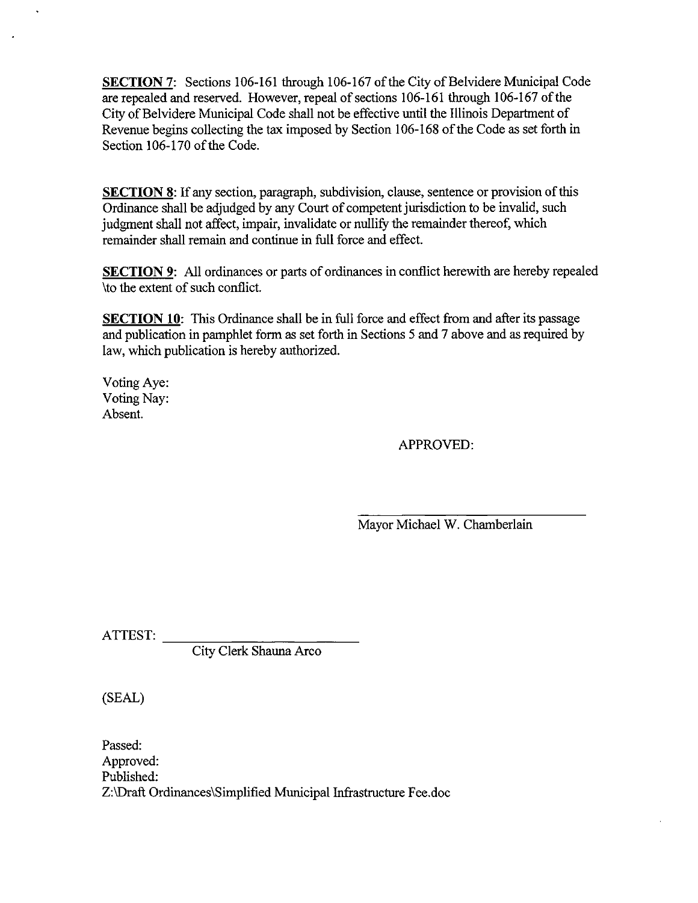SECTION 7: Sections 106-161 through 106-167 of the City of Belvidere Municipal Code are repealed and reserved. However, repeal of sections 106- <sup>161</sup> through 106- 167 of the City of Belvidere Municipal Code shall not be effective until the Illinois Department of Revenue begins collecting the tax imposed by Section 106- <sup>168</sup> of the Code as set forth in Section 106-170 of the Code.

SECTION 8: If any section, paragraph, subdivision, clause, sentence or provision of this Ordinance shall be adjudged by any Court of competent jurisdiction to be invalid, such judgment shall not affect, impair, invalidate or nullify the remainder thereof, which remainder shall remain and continue in full force and effect.

SECTION 9: All ordinances or parts of ordinances in conflict herewith are hereby repealed to the extent of such conflict.

**SECTION 10:** This Ordinance shall be in full force and effect from and after its passage and publication in pamphlet form as set forth in Sections 5 and 7 above and as required by law, which publication is hereby authorized.

Voting Aye: Voting Nay: Absent.

APPROVED:

Mayor Michael W. Chamberlain

ATTEST:

City Clerk Shauna Arco

SEAL)

Passed: Approved: Published: Z:\Draft Ordinances\ Simplified Municipal Infrastructure Fee. doc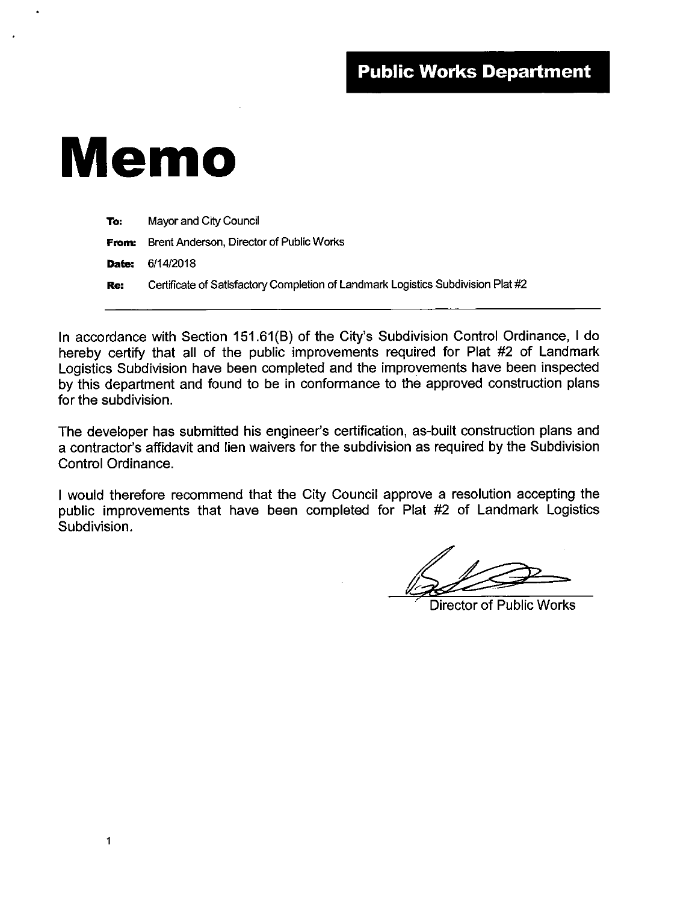# Memo

| To:   | Mayor and City Council                                                           |
|-------|----------------------------------------------------------------------------------|
|       | <b>From:</b> Brent Anderson, Director of Public Works                            |
| Date: | 6/14/2018                                                                        |
| Re:   | Certificate of Satisfactory Completion of Landmark Logistics Subdivision Plat #2 |

In accordance with Section 151.61(B) of the City's Subdivision Control Ordinance, I do hereby certify that all of the public improvements required for Plat #2 of Landmark Logistics Subdivision have been completed and the improvements have been inspected by this department and found to be in conformance to the approved construction plans for the subdivision.

The developer has submitted his engineer's certification, as-built construction plans and a contractor's affidavit and lien waivers for the subdivision as required by the Subdivision Control Ordinance.

<sup>I</sup> would therefore recommend that the City Council approve a resolution accepting the public improvements that have been completed for Plat #2 of Landmark Logistics Subdivision.

Director of Public Works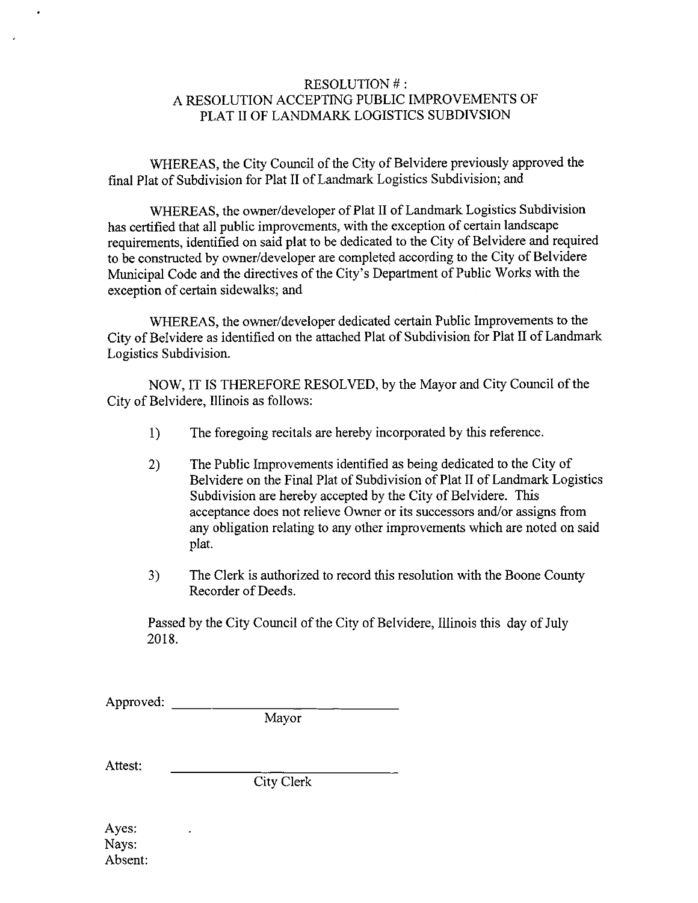# RESOLUTION #: A RESOLUTION ACCEPTING PUBLIC IMPROVEMENTS OF PLAT II OF LANDMARK LOGISTICS SUBDIVSION

WHEREAS, the City Council of the City of Belvidere previously approved the final Plat of Subdivision for Plat II of Landmark Logistics Subdivision; and

WHEREAS, the owner/developer of Plat II of Landmark Logistics Subdivision has certified that all public improvements, with the exception of certain landscape requirements, identified on said plat to be dedicated to the City of Belvidere and required to be constructed by owner/developer are completed according to the City of Belvidere Municipal Code and the directives of the City's Department of Public Works with the exception of certain sidewalks; and

WHEREAS, the owner/developer dedicated certain Public Improvements to the City of Belvidere as identified on the attached Plat of Subdivision for Plat II of Landmark Logistics Subdivision.

NOW, IT IS THEREFORE RESOLVED, by the Mayor and City Council of the City of Belvidere, Illinois as follows:

- 1) The foregoing recitals are hereby incorporated by this reference.
- 2) The Public Improvements identified as being dedicated to the City of Belvidere on the Final Plat of Subdivision of Plat II of Landmark Logistics Subdivision are hereby accepted by the City of Belvidere. This acceptance does not relieve Owner or its successors and/or assigns from any obligation relating to any other improvements which are noted on said plat.
- 3) The Clerk is authorized to record this resolution with the Boone County Recorder of Deeds.

Passed by the City Council of the City of Belvidere, Illinois this day of July 2018.

Approved:

Mayor

Attest:

City Clerk

Ayes: Nays: Absent: